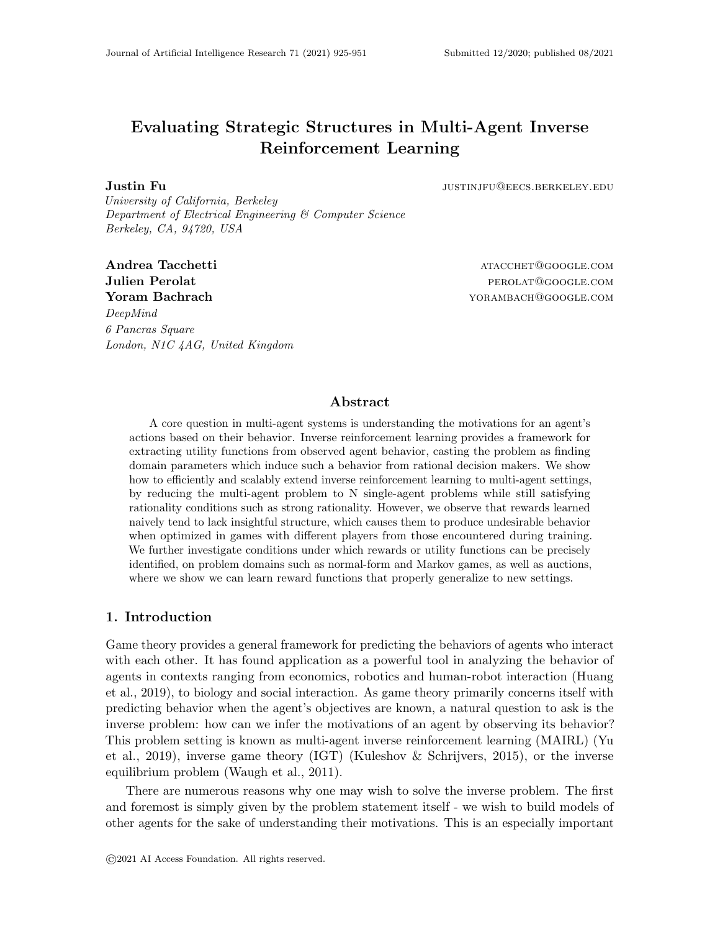# Evaluating Strategic Structures in Multi-Agent Inverse Reinforcement Learning

**Justin Fu** *Justinia Justinia Justinia Justinia Justinia Justinia Justinia Justinia Justinia Justinia Justinia Justinia Justinia Justinia Justinia Justinia Justinia Justinia Justinia*

University of California, Berkeley Department of Electrical Engineering & Computer Science Berkeley, CA, 94720, USA

Andrea Tacchetti atacchetti atacchetti atacchetti atacchetti atacchetti atacchetti atacchetti atacchetti atacchetti atacchetti atacchetti atacchetti atacchetti atacchetti atacchetti atacchetti atacchetti atacchetti atacche Julien Perolat **perolat** percent percent percent percent percent percent percent percent percent percent percent **Yoram Bachrach the Second State of the Second State of Texas And American State of Texas And America State of Texas** DeepMind 6 Pancras Square London, N1C 4AG, United Kingdom

# Abstract

A core question in multi-agent systems is understanding the motivations for an agent's actions based on their behavior. Inverse reinforcement learning provides a framework for extracting utility functions from observed agent behavior, casting the problem as finding domain parameters which induce such a behavior from rational decision makers. We show how to efficiently and scalably extend inverse reinforcement learning to multi-agent settings, by reducing the multi-agent problem to N single-agent problems while still satisfying rationality conditions such as strong rationality. However, we observe that rewards learned naively tend to lack insightful structure, which causes them to produce undesirable behavior when optimized in games with different players from those encountered during training. We further investigate conditions under which rewards or utility functions can be precisely identified, on problem domains such as normal-form and Markov games, as well as auctions, where we show we can learn reward functions that properly generalize to new settings.

# 1. Introduction

Game theory provides a general framework for predicting the behaviors of agents who interact with each other. It has found application as a powerful tool in analyzing the behavior of agents in contexts ranging from economics, robotics and human-robot interaction (Huang et al., 2019), to biology and social interaction. As game theory primarily concerns itself with predicting behavior when the agent's objectives are known, a natural question to ask is the inverse problem: how can we infer the motivations of an agent by observing its behavior? This problem setting is known as multi-agent inverse reinforcement learning (MAIRL) (Yu et al., 2019), inverse game theory (IGT) (Kuleshov & Schrijvers, 2015), or the inverse equilibrium problem (Waugh et al., 2011).

There are numerous reasons why one may wish to solve the inverse problem. The first and foremost is simply given by the problem statement itself - we wish to build models of other agents for the sake of understanding their motivations. This is an especially important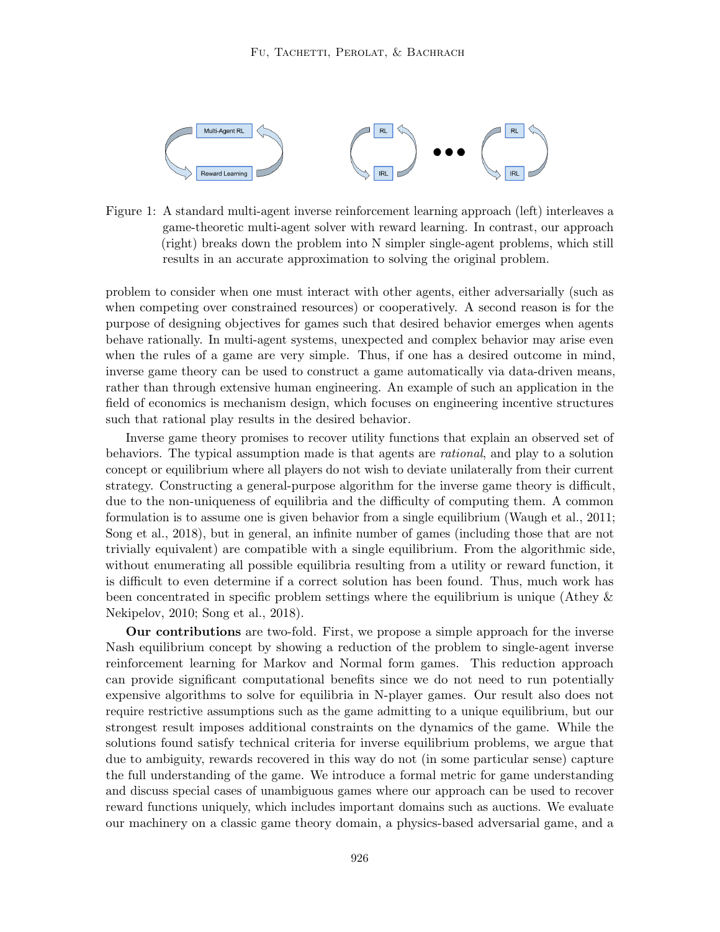

Figure 1: A standard multi-agent inverse reinforcement learning approach (left) interleaves a game-theoretic multi-agent solver with reward learning. In contrast, our approach (right) breaks down the problem into N simpler single-agent problems, which still results in an accurate approximation to solving the original problem.

problem to consider when one must interact with other agents, either adversarially (such as when competing over constrained resources) or cooperatively. A second reason is for the purpose of designing objectives for games such that desired behavior emerges when agents behave rationally. In multi-agent systems, unexpected and complex behavior may arise even when the rules of a game are very simple. Thus, if one has a desired outcome in mind, inverse game theory can be used to construct a game automatically via data-driven means, rather than through extensive human engineering. An example of such an application in the field of economics is mechanism design, which focuses on engineering incentive structures such that rational play results in the desired behavior.

Inverse game theory promises to recover utility functions that explain an observed set of behaviors. The typical assumption made is that agents are rational, and play to a solution concept or equilibrium where all players do not wish to deviate unilaterally from their current strategy. Constructing a general-purpose algorithm for the inverse game theory is difficult, due to the non-uniqueness of equilibria and the difficulty of computing them. A common formulation is to assume one is given behavior from a single equilibrium (Waugh et al., 2011; Song et al., 2018), but in general, an infinite number of games (including those that are not trivially equivalent) are compatible with a single equilibrium. From the algorithmic side, without enumerating all possible equilibria resulting from a utility or reward function, it is difficult to even determine if a correct solution has been found. Thus, much work has been concentrated in specific problem settings where the equilibrium is unique (Athey & Nekipelov, 2010; Song et al., 2018).

Our contributions are two-fold. First, we propose a simple approach for the inverse Nash equilibrium concept by showing a reduction of the problem to single-agent inverse reinforcement learning for Markov and Normal form games. This reduction approach can provide significant computational benefits since we do not need to run potentially expensive algorithms to solve for equilibria in N-player games. Our result also does not require restrictive assumptions such as the game admitting to a unique equilibrium, but our strongest result imposes additional constraints on the dynamics of the game. While the solutions found satisfy technical criteria for inverse equilibrium problems, we argue that due to ambiguity, rewards recovered in this way do not (in some particular sense) capture the full understanding of the game. We introduce a formal metric for game understanding and discuss special cases of unambiguous games where our approach can be used to recover reward functions uniquely, which includes important domains such as auctions. We evaluate our machinery on a classic game theory domain, a physics-based adversarial game, and a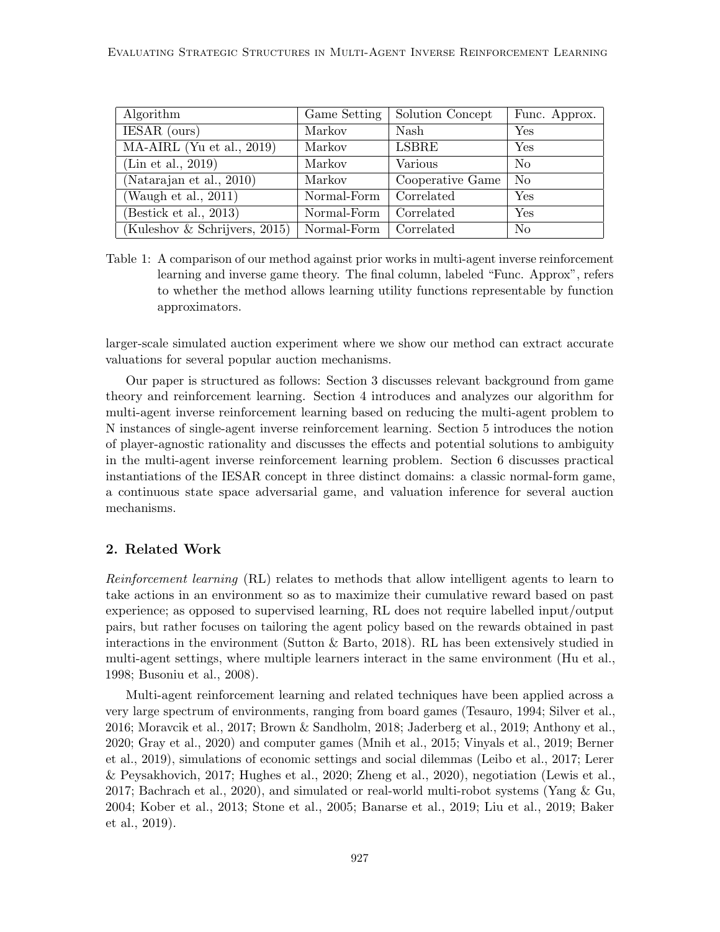| Algorithm                     | Game Setting | Solution Concept | Func. Approx.  |
|-------------------------------|--------------|------------------|----------------|
| IESAR (ours)                  | Markov       | <b>Nash</b>      | Yes            |
| $MA-AIRL$ (Yu et al., 2019)   | Markov       | LSBRE            | Yes            |
| (Lin et al., 2019)            | Markov       | Various          | N <sub>o</sub> |
| (Natarajan et al., 2010)      | Markov       | Cooperative Game | N <sub>o</sub> |
| (Waugh et al., $2011$ )       | Normal-Form  | Correlated       | Yes            |
| (Bestick et al., 2013)        | Normal-Form  | Correlated       | Yes            |
| (Kuleshov & Schrijvers, 2015) | Normal-Form  | Correlated       | N <sub>o</sub> |

Table 1: A comparison of our method against prior works in multi-agent inverse reinforcement learning and inverse game theory. The final column, labeled "Func. Approx", refers to whether the method allows learning utility functions representable by function approximators.

larger-scale simulated auction experiment where we show our method can extract accurate valuations for several popular auction mechanisms.

Our paper is structured as follows: Section 3 discusses relevant background from game theory and reinforcement learning. Section 4 introduces and analyzes our algorithm for multi-agent inverse reinforcement learning based on reducing the multi-agent problem to N instances of single-agent inverse reinforcement learning. Section 5 introduces the notion of player-agnostic rationality and discusses the effects and potential solutions to ambiguity in the multi-agent inverse reinforcement learning problem. Section 6 discusses practical instantiations of the IESAR concept in three distinct domains: a classic normal-form game, a continuous state space adversarial game, and valuation inference for several auction mechanisms.

# 2. Related Work

Reinforcement learning (RL) relates to methods that allow intelligent agents to learn to take actions in an environment so as to maximize their cumulative reward based on past experience; as opposed to supervised learning, RL does not require labelled input/output pairs, but rather focuses on tailoring the agent policy based on the rewards obtained in past interactions in the environment (Sutton & Barto, 2018). RL has been extensively studied in multi-agent settings, where multiple learners interact in the same environment (Hu et al., 1998; Busoniu et al., 2008).

Multi-agent reinforcement learning and related techniques have been applied across a very large spectrum of environments, ranging from board games (Tesauro, 1994; Silver et al., 2016; Moravcik et al., 2017; Brown & Sandholm, 2018; Jaderberg et al., 2019; Anthony et al., 2020; Gray et al., 2020) and computer games (Mnih et al., 2015; Vinyals et al., 2019; Berner et al., 2019), simulations of economic settings and social dilemmas (Leibo et al., 2017; Lerer & Peysakhovich, 2017; Hughes et al., 2020; Zheng et al., 2020), negotiation (Lewis et al., 2017; Bachrach et al., 2020), and simulated or real-world multi-robot systems (Yang & Gu, 2004; Kober et al., 2013; Stone et al., 2005; Banarse et al., 2019; Liu et al., 2019; Baker et al., 2019).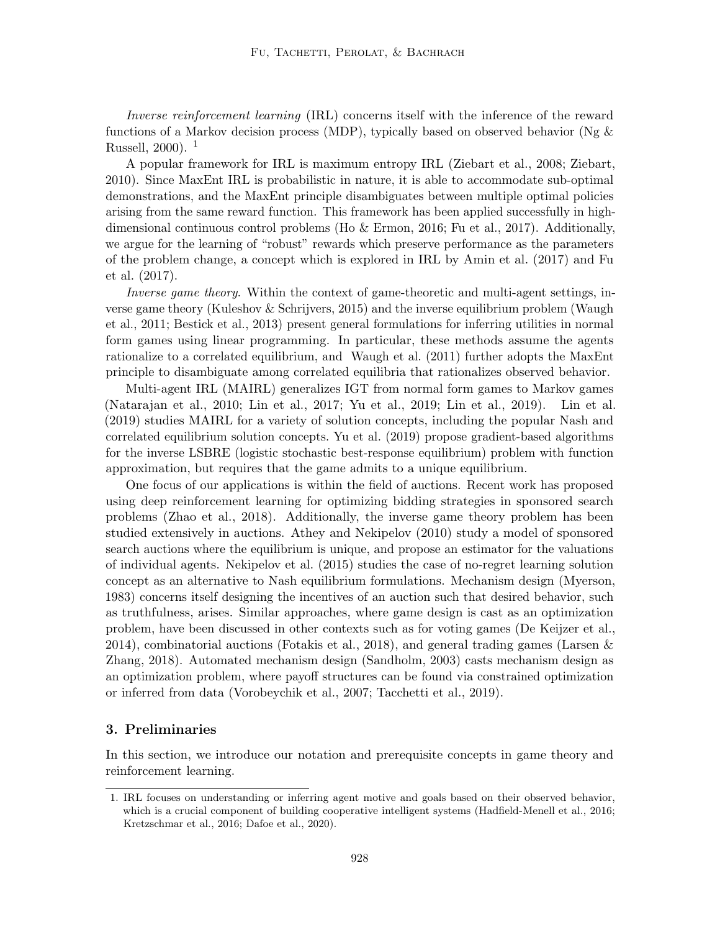Inverse reinforcement learning (IRL) concerns itself with the inference of the reward functions of a Markov decision process (MDP), typically based on observed behavior ( $Ng \&$ Russell, 2000).  $^{1}$ 

A popular framework for IRL is maximum entropy IRL (Ziebart et al., 2008; Ziebart, 2010). Since MaxEnt IRL is probabilistic in nature, it is able to accommodate sub-optimal demonstrations, and the MaxEnt principle disambiguates between multiple optimal policies arising from the same reward function. This framework has been applied successfully in highdimensional continuous control problems (Ho & Ermon, 2016; Fu et al., 2017). Additionally, we argue for the learning of "robust" rewards which preserve performance as the parameters of the problem change, a concept which is explored in IRL by Amin et al. (2017) and Fu et al. (2017).

Inverse game theory. Within the context of game-theoretic and multi-agent settings, inverse game theory (Kuleshov & Schrijvers, 2015) and the inverse equilibrium problem (Waugh et al., 2011; Bestick et al., 2013) present general formulations for inferring utilities in normal form games using linear programming. In particular, these methods assume the agents rationalize to a correlated equilibrium, and Waugh et al. (2011) further adopts the MaxEnt principle to disambiguate among correlated equilibria that rationalizes observed behavior.

Multi-agent IRL (MAIRL) generalizes IGT from normal form games to Markov games (Natarajan et al., 2010; Lin et al., 2017; Yu et al., 2019; Lin et al., 2019). Lin et al. (2019) studies MAIRL for a variety of solution concepts, including the popular Nash and correlated equilibrium solution concepts. Yu et al. (2019) propose gradient-based algorithms for the inverse LSBRE (logistic stochastic best-response equilibrium) problem with function approximation, but requires that the game admits to a unique equilibrium.

One focus of our applications is within the field of auctions. Recent work has proposed using deep reinforcement learning for optimizing bidding strategies in sponsored search problems (Zhao et al., 2018). Additionally, the inverse game theory problem has been studied extensively in auctions. Athey and Nekipelov (2010) study a model of sponsored search auctions where the equilibrium is unique, and propose an estimator for the valuations of individual agents. Nekipelov et al. (2015) studies the case of no-regret learning solution concept as an alternative to Nash equilibrium formulations. Mechanism design (Myerson, 1983) concerns itself designing the incentives of an auction such that desired behavior, such as truthfulness, arises. Similar approaches, where game design is cast as an optimization problem, have been discussed in other contexts such as for voting games (De Keijzer et al., 2014), combinatorial auctions (Fotakis et al., 2018), and general trading games (Larsen & Zhang, 2018). Automated mechanism design (Sandholm, 2003) casts mechanism design as an optimization problem, where payoff structures can be found via constrained optimization or inferred from data (Vorobeychik et al., 2007; Tacchetti et al., 2019).

# 3. Preliminaries

In this section, we introduce our notation and prerequisite concepts in game theory and reinforcement learning.

<sup>1.</sup> IRL focuses on understanding or inferring agent motive and goals based on their observed behavior, which is a crucial component of building cooperative intelligent systems (Hadfield-Menell et al., 2016; Kretzschmar et al., 2016; Dafoe et al., 2020).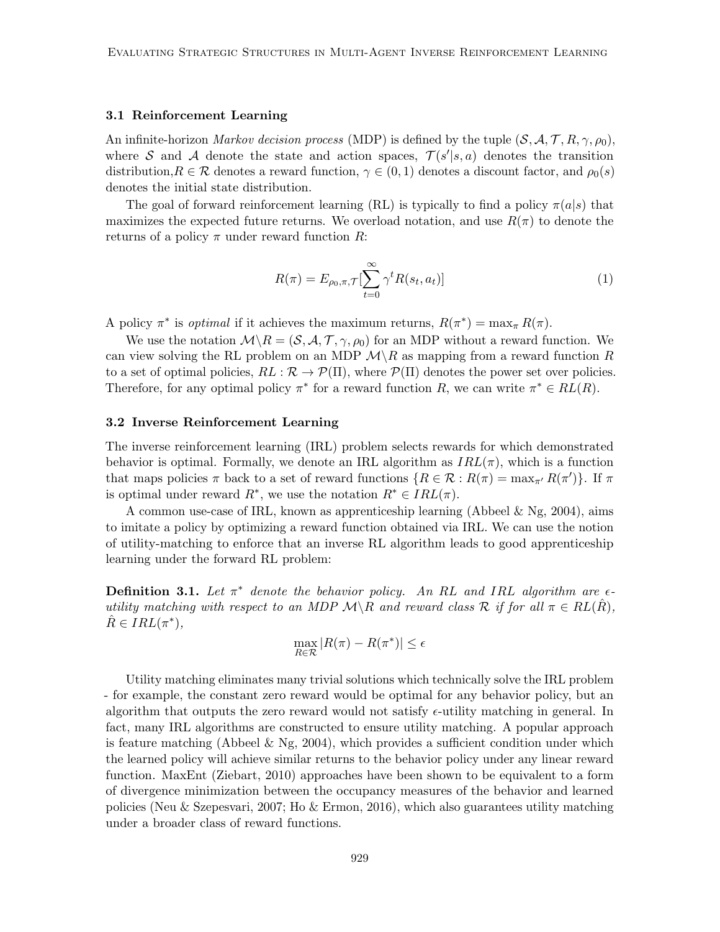## 3.1 Reinforcement Learning

An infinite-horizon *Markov decision process* (MDP) is defined by the tuple  $(S, \mathcal{A}, \mathcal{T}, R, \gamma, \rho_0)$ , where S and A denote the state and action spaces,  $\mathcal{T}(s'|s, a)$  denotes the transition distribution,  $R \in \mathcal{R}$  denotes a reward function,  $\gamma \in (0, 1)$  denotes a discount factor, and  $\rho_0(s)$ denotes the initial state distribution.

The goal of forward reinforcement learning (RL) is typically to find a policy  $\pi(a|s)$  that maximizes the expected future returns. We overload notation, and use  $R(\pi)$  to denote the returns of a policy  $\pi$  under reward function R:

$$
R(\pi) = E_{\rho_0, \pi, \mathcal{T}} \left[ \sum_{t=0}^{\infty} \gamma^t R(s_t, a_t) \right]
$$
\n<sup>(1)</sup>

A policy  $\pi^*$  is *optimal* if it achieves the maximum returns,  $R(\pi^*) = \max_{\pi} R(\pi)$ .

We use the notation  $\mathcal{M}\backslash R = (\mathcal{S}, \mathcal{A}, \mathcal{T}, \gamma, \rho_0)$  for an MDP without a reward function. We can view solving the RL problem on an MDP  $\mathcal{M}\backslash R$  as mapping from a reward function R to a set of optimal policies,  $RL : \mathcal{R} \to \mathcal{P}(\Pi)$ , where  $\mathcal{P}(\Pi)$  denotes the power set over policies. Therefore, for any optimal policy  $\pi^*$  for a reward function R, we can write  $\pi^* \in RL(R)$ .

#### 3.2 Inverse Reinforcement Learning

The inverse reinforcement learning (IRL) problem selects rewards for which demonstrated behavior is optimal. Formally, we denote an IRL algorithm as  $IRL(\pi)$ , which is a function that maps policies  $\pi$  back to a set of reward functions  $\{R \in \mathcal{R} : R(\pi) = \max_{\pi'} R(\pi')\}$ . If  $\pi$ is optimal under reward  $R^*$ , we use the notation  $R^* \in IRL(\pi)$ .

A common use-case of IRL, known as apprenticeship learning (Abbeel  $\&$  Ng, 2004), aims to imitate a policy by optimizing a reward function obtained via IRL. We can use the notion of utility-matching to enforce that an inverse RL algorithm leads to good apprenticeship learning under the forward RL problem:

**Definition 3.1.** Let  $\pi^*$  denote the behavior policy. An RL and IRL algorithm are  $\epsilon$ utility matching with respect to an MDP  $\mathcal{M}\backslash R$  and reward class R if for all  $\pi \in RL(R)$ ,  $\hat{R} \in IRL(\pi^*),$ 

$$
\max_{R \in \mathcal{R}} |R(\pi) - R(\pi^*)| \le \epsilon
$$

Utility matching eliminates many trivial solutions which technically solve the IRL problem - for example, the constant zero reward would be optimal for any behavior policy, but an algorithm that outputs the zero reward would not satisfy  $\epsilon$ -utility matching in general. In fact, many IRL algorithms are constructed to ensure utility matching. A popular approach is feature matching (Abbeel & Ng, 2004), which provides a sufficient condition under which the learned policy will achieve similar returns to the behavior policy under any linear reward function. MaxEnt (Ziebart, 2010) approaches have been shown to be equivalent to a form of divergence minimization between the occupancy measures of the behavior and learned policies (Neu & Szepesvari, 2007; Ho & Ermon, 2016), which also guarantees utility matching under a broader class of reward functions.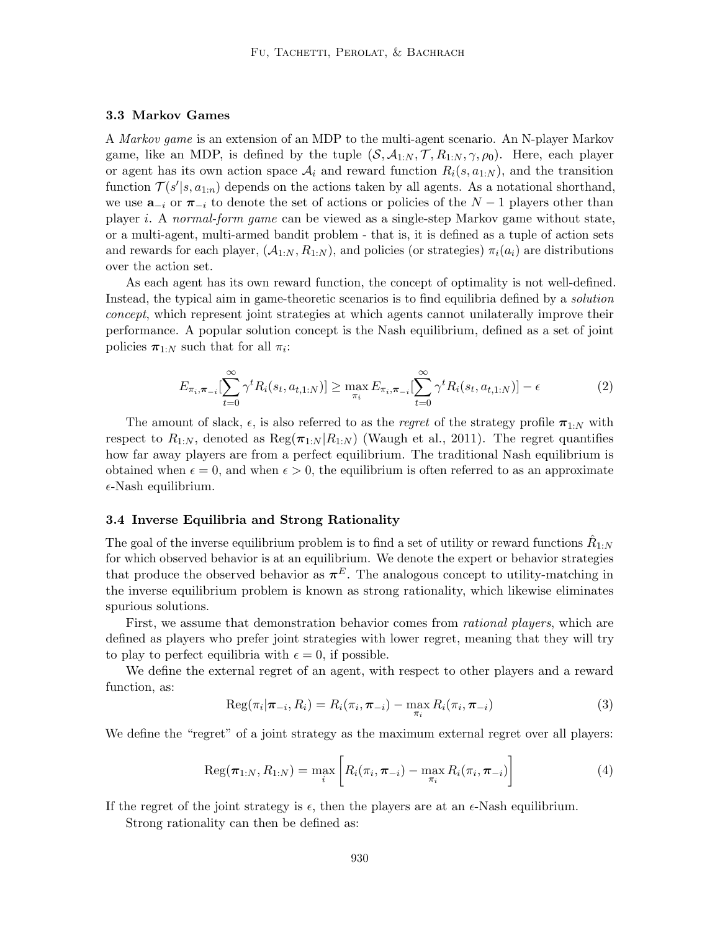## 3.3 Markov Games

A Markov game is an extension of an MDP to the multi-agent scenario. An N-player Markov game, like an MDP, is defined by the tuple  $(S, A_{1:N}, \mathcal{T}, R_{1:N}, \gamma, \rho_0)$ . Here, each player or agent has its own action space  $A_i$  and reward function  $R_i(s, a_{1:N})$ , and the transition function  $\mathcal{T}(s'|s, a_{1:n})$  depends on the actions taken by all agents. As a notational shorthand, we use  $\mathbf{a}_{-i}$  or  $\pi_{-i}$  to denote the set of actions or policies of the  $N-1$  players other than player i. A normal-form game can be viewed as a single-step Markov game without state, or a multi-agent, multi-armed bandit problem - that is, it is defined as a tuple of action sets and rewards for each player,  $(A_{1:N}, R_{1:N})$ , and policies (or strategies)  $\pi_i(a_i)$  are distributions over the action set.

As each agent has its own reward function, the concept of optimality is not well-defined. Instead, the typical aim in game-theoretic scenarios is to find equilibria defined by a solution concept, which represent joint strategies at which agents cannot unilaterally improve their performance. A popular solution concept is the Nash equilibrium, defined as a set of joint policies  $\pi_{1:N}$  such that for all  $\pi_i$ :

$$
E_{\pi_i, \pi_{-i}}[\sum_{t=0}^{\infty} \gamma^t R_i(s_t, a_{t,1:N})] \ge \max_{\pi_i} E_{\pi_i, \pi_{-i}}[\sum_{t=0}^{\infty} \gamma^t R_i(s_t, a_{t,1:N})] - \epsilon
$$
 (2)

The amount of slack,  $\epsilon$ , is also referred to as the *regret* of the strategy profile  $\pi_{1:N}$  with respect to  $R_{1:N}$ , denoted as  $\text{Reg}(\pi_{1:N} | R_{1:N})$  (Waugh et al., 2011). The regret quantifies how far away players are from a perfect equilibrium. The traditional Nash equilibrium is obtained when  $\epsilon = 0$ , and when  $\epsilon > 0$ , the equilibrium is often referred to as an approximate  $\epsilon$ -Nash equilibrium.

#### 3.4 Inverse Equilibria and Strong Rationality

The goal of the inverse equilibrium problem is to find a set of utility or reward functions  $\hat{R}_{1:N}$ for which observed behavior is at an equilibrium. We denote the expert or behavior strategies that produce the observed behavior as  $\pi^{E}$ . The analogous concept to utility-matching in the inverse equilibrium problem is known as strong rationality, which likewise eliminates spurious solutions.

First, we assume that demonstration behavior comes from *rational players*, which are defined as players who prefer joint strategies with lower regret, meaning that they will try to play to perfect equilibria with  $\epsilon = 0$ , if possible.

We define the external regret of an agent, with respect to other players and a reward function, as:

$$
\operatorname{Reg}(\pi_i|\boldsymbol{\pi}_{-i}, R_i) = R_i(\pi_i, \boldsymbol{\pi}_{-i}) - \max_{\pi_i} R_i(\pi_i, \boldsymbol{\pi}_{-i})
$$
\n(3)

We define the "regret" of a joint strategy as the maximum external regret over all players:

$$
Reg(\pi_{1:N}, R_{1:N}) = \max_{i} \left[ R_i(\pi_i, \pi_{-i}) - \max_{\pi_i} R_i(\pi_i, \pi_{-i}) \right]
$$
(4)

If the regret of the joint strategy is  $\epsilon$ , then the players are at an  $\epsilon$ -Nash equilibrium.

Strong rationality can then be defined as: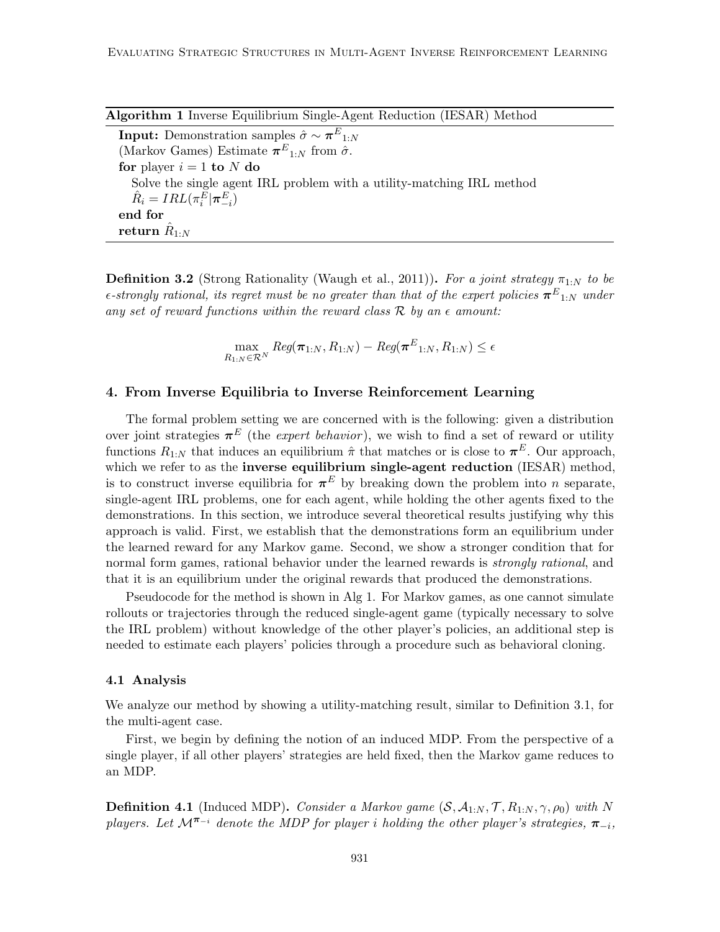Algorithm 1 Inverse Equilibrium Single-Agent Reduction (IESAR) Method

**Input:** Demonstration samples  $\hat{\sigma} \sim \boldsymbol{\pi}^E_{1:N}$ (Markov Games) Estimate  $\pi^{E_{1:N}}$  from  $\hat{\sigma}$ . for player  $i = 1$  to N do Solve the single agent IRL problem with a utility-matching IRL method  $\hat{R}_i = IRL(\pi^E_i | \boldsymbol{\pi}^E_{-i})$ end for  $\operatorname{return} \ \hat{R}_{1:N}$ 

**Definition 3.2** (Strong Rationality (Waugh et al., 2011)). For a joint strategy  $\pi_{1:N}$  to be  $\epsilon\text{-strongly rational, its regret must be no greater than that of the expert policies } \boldsymbol{\pi}^E_{-1:N} \text{ under } \epsilon\text{-strongly rational.}$ any set of reward functions within the reward class  $\mathcal R$  by an  $\epsilon$  amount:

> max  $\max_{R_{1:N}\in \mathcal{R}^N} Reg(\boldsymbol{\pi}_{1:N}, R_{1:N}) - Reg(\boldsymbol{\pi}^E_{1:N}, R_{1:N}) \leq \epsilon$

# 4. From Inverse Equilibria to Inverse Reinforcement Learning

The formal problem setting we are concerned with is the following: given a distribution over joint strategies  $\pi^{E}$  (the *expert behavior*), we wish to find a set of reward or utility functions  $R_{1:N}$  that induces an equilibrium  $\hat{\pi}$  that matches or is close to  $\pi^E$ . Our approach, which we refer to as the **inverse equilibrium single-agent reduction** (IESAR) method, is to construct inverse equilibria for  $\pi^{E}$  by breaking down the problem into *n* separate, single-agent IRL problems, one for each agent, while holding the other agents fixed to the demonstrations. In this section, we introduce several theoretical results justifying why this approach is valid. First, we establish that the demonstrations form an equilibrium under the learned reward for any Markov game. Second, we show a stronger condition that for normal form games, rational behavior under the learned rewards is *strongly rational*, and that it is an equilibrium under the original rewards that produced the demonstrations.

Pseudocode for the method is shown in Alg 1. For Markov games, as one cannot simulate rollouts or trajectories through the reduced single-agent game (typically necessary to solve the IRL problem) without knowledge of the other player's policies, an additional step is needed to estimate each players' policies through a procedure such as behavioral cloning.

#### 4.1 Analysis

We analyze our method by showing a utility-matching result, similar to Definition 3.1, for the multi-agent case.

First, we begin by defining the notion of an induced MDP. From the perspective of a single player, if all other players' strategies are held fixed, then the Markov game reduces to an MDP.

**Definition 4.1** (Induced MDP). Consider a Markov game  $(S, \mathcal{A}_{1:N}, \mathcal{T}, R_{1:N}, \gamma, \rho_0)$  with N players. Let  $\mathcal{M}^{\pi_{-i}}$  denote the MDP for player i holding the other player's strategies,  $\pi_{-i}$ ,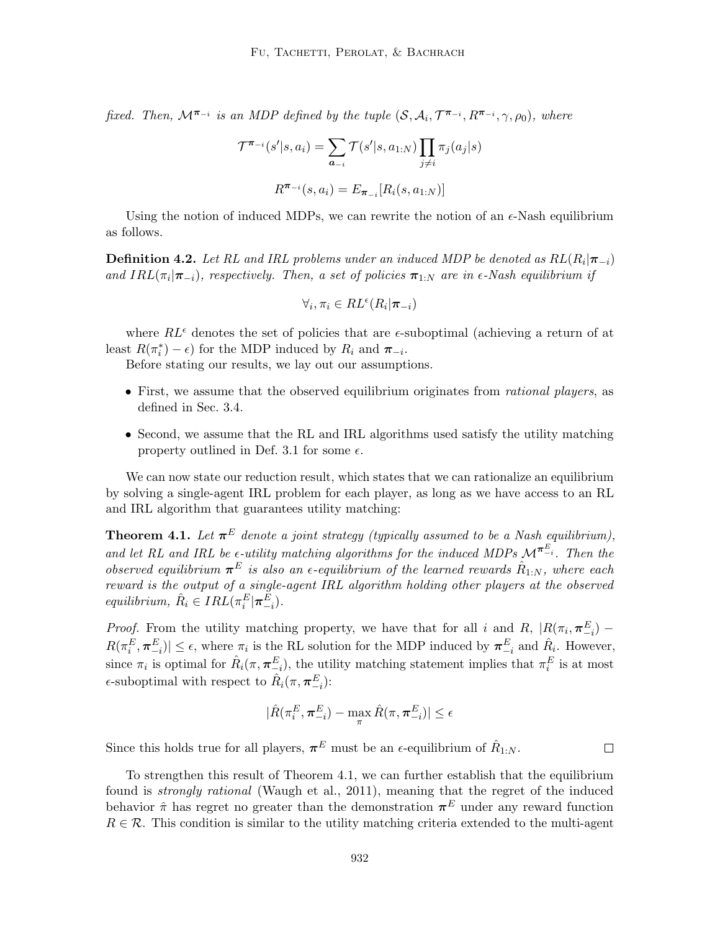fixed. Then,  $\mathcal{M}^{\pi_{-i}}$  is an MDP defined by the tuple  $(\mathcal{S}, \mathcal{A}_i, \mathcal{T}^{\pi_{-i}}, R^{\pi_{-i}}, \gamma, \rho_0)$ , where

$$
\mathcal{T}^{\pi_{-i}}(s'|s, a_i) = \sum_{a_{-i}} \mathcal{T}(s'|s, a_{1:N}) \prod_{j \neq i} \pi_j(a_j|s)
$$

$$
R^{\pi_{-i}}(s, a_i) = E_{\pi_{-i}}[R_i(s, a_{1:N})]
$$

Using the notion of induced MDPs, we can rewrite the notion of an  $\epsilon$ -Nash equilibrium as follows.

**Definition 4.2.** Let RL and IRL problems under an induced MDP be denoted as  $RL(R_i | \boldsymbol{\pi}_{-i})$ and  $IRL(\pi_i|\pi_{-i})$ , respectively. Then, a set of policies  $\pi_{1:N}$  are in  $\epsilon$ -Nash equilibrium if

$$
\forall_i, \pi_i \in RL^{\epsilon}(R_i|\pi_{-i})
$$

where  $RL^{\epsilon}$  denotes the set of policies that are  $\epsilon$ -suboptimal (achieving a return of at least  $R(\pi_i^*) - \epsilon$  for the MDP induced by  $R_i$  and  $\pi_{-i}$ .

Before stating our results, we lay out our assumptions.

- First, we assume that the observed equilibrium originates from *rational players*, as defined in Sec. 3.4.
- Second, we assume that the RL and IRL algorithms used satisfy the utility matching property outlined in Def. 3.1 for some  $\epsilon$ .

We can now state our reduction result, which states that we can rationalize an equilibrium by solving a single-agent IRL problem for each player, as long as we have access to an RL and IRL algorithm that guarantees utility matching:

**Theorem 4.1.** Let  $\pi^E$  denote a joint strategy (typically assumed to be a Nash equilibrium), and let RL and IRL be  $\epsilon$ -utility matching algorithms for the induced MDPs  $\mathcal{M}^{\pi E_i}$ . Then the observed equilibrium  $\pi^E$  is also an  $\epsilon$ -equilibrium of the learned rewards  $\hat{R}_{1:N}$ , where each reward is the output of a single-agent IRL algorithm holding other players at the observed equilibrium,  $\hat{R}_i \in IRL(\pi_i^E | \boldsymbol{\pi}_{-i}^E)$ .

*Proof.* From the utility matching property, we have that for all i and R,  $|R(\pi_i, \pi_{-i}^E)$  –  $R(\pi_i^E, \pi_{-i}^E) \le \epsilon$ , where  $\pi_i$  is the RL solution for the MDP induced by  $\pi_{-i}^E$  and  $\hat{R}_i$ . However, since  $\pi_i$  is optimal for  $\hat{R}_i(\pi, \pi_{-i}^E)$ , the utility matching statement implies that  $\pi_i^E$  is at most  $\epsilon$ -suboptimal with respect to  $\hat{R}_i(\pi, \pi_{-i}^E)$ :

$$
|\hat{R}(\pi^E_i, \pmb{\pi}^E_{-i}) - \max_{\pi} \hat{R}(\pi, \pmb{\pi}^E_{-i})| \leq \epsilon
$$

Since this holds true for all players,  $\pi^{E}$  must be an  $\epsilon$ -equilibrium of  $\hat{R}_{1:N}$ .

To strengthen this result of Theorem 4.1, we can further establish that the equilibrium found is strongly rational (Waugh et al., 2011), meaning that the regret of the induced behavior  $\hat{\pi}$  has regret no greater than the demonstration  $\pi^{E}$  under any reward function  $R \in \mathcal{R}$ . This condition is similar to the utility matching criteria extended to the multi-agent

 $\Box$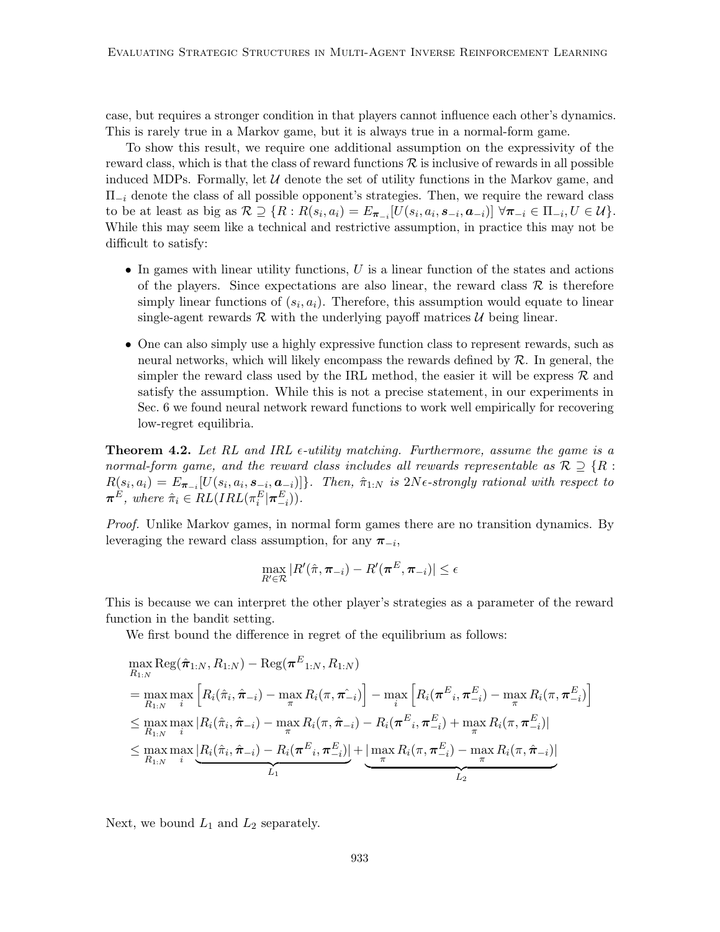case, but requires a stronger condition in that players cannot influence each other's dynamics. This is rarely true in a Markov game, but it is always true in a normal-form game.

To show this result, we require one additional assumption on the expressivity of the reward class, which is that the class of reward functions  $\mathcal R$  is inclusive of rewards in all possible induced MDPs. Formally, let  $U$  denote the set of utility functions in the Markov game, and  $\Pi_{-i}$  denote the class of all possible opponent's strategies. Then, we require the reward class to be at least as big as  $\mathcal{R} \supseteq \{R: R(s_i, a_i) = E_{\boldsymbol{\pi}_{-i}}[U(s_i, a_i, \boldsymbol{s}_{-i}, \boldsymbol{a}_{-i})] \,\,\forall \boldsymbol{\pi}_{-i} \in \Pi_{-i}, U \in \mathcal{U}\}.$ While this may seem like a technical and restrictive assumption, in practice this may not be difficult to satisfy:

- $\bullet$  In games with linear utility functions, U is a linear function of the states and actions of the players. Since expectations are also linear, the reward class  $\mathcal R$  is therefore simply linear functions of  $(s_i, a_i)$ . Therefore, this assumption would equate to linear single-agent rewards  $\mathcal R$  with the underlying payoff matrices  $\mathcal U$  being linear.
- One can also simply use a highly expressive function class to represent rewards, such as neural networks, which will likely encompass the rewards defined by  $R$ . In general, the simpler the reward class used by the IRL method, the easier it will be express  $\mathcal{R}$  and satisfy the assumption. While this is not a precise statement, in our experiments in Sec. 6 we found neural network reward functions to work well empirically for recovering low-regret equilibria.

**Theorem 4.2.** Let RL and IRL  $\epsilon$ -utility matching. Furthermore, assume the game is a normal-form game, and the reward class includes all rewards representable as  $\mathcal{R} \supseteq \{R:\}$  $R(s_i, a_i) = E_{\boldsymbol{\pi}_{-i}}[U(s_i, a_i, \boldsymbol{s}_{-i}, \boldsymbol{a}_{-i})]$ . Then,  $\hat{\pi}_{1:N}$  is  $2N\epsilon$ -strongly rational with respect to  $\boldsymbol{\pi}^E$ , where  $\hat{\pi}_i \in RL(IRL(\pi_i^E|\boldsymbol{\pi}_{-i}^E)).$ 

Proof. Unlike Markov games, in normal form games there are no transition dynamics. By leveraging the reward class assumption, for any  $\pi_{-i}$ ,

$$
\max_{R' \in \mathcal{R}} |R'(\hat{\pi}, \pi_{-i}) - R'(\pi^E, \pi_{-i})| \le \epsilon
$$

This is because we can interpret the other player's strategies as a parameter of the reward function in the bandit setting.

We first bound the difference in regret of the equilibrium as follows:

$$
\max_{R_{1:N}} \text{Reg}(\hat{\pi}_{1:N}, R_{1:N}) - \text{Reg}(\boldsymbol{\pi}^{E}_{1:N}, R_{1:N})
$$
\n
$$
= \max_{R_{1:N}} \max_{i} \left[ R_{i}(\hat{\pi}_{i}, \hat{\pi}_{-i}) - \max_{\pi} R_{i}(\pi, \hat{\pi}_{-i}) \right] - \max_{i} \left[ R_{i}(\boldsymbol{\pi}^{E}_{i}, \boldsymbol{\pi}^{E}_{-i}) - \max_{\pi} R_{i}(\pi, \pi_{-i}^{E}) \right]
$$
\n
$$
\leq \max_{R_{1:N}} \max_{i} |R_{i}(\hat{\pi}_{i}, \hat{\pi}_{-i}) - \max_{\pi} R_{i}(\pi, \hat{\pi}_{-i}) - R_{i}(\boldsymbol{\pi}^{E}_{i}, \pi_{-i}^{E}) + \max_{\pi} R_{i}(\pi, \pi_{-i}^{E})|
$$
\n
$$
\leq \max_{R_{1:N}} \max_{i} \underbrace{R_{i}(\hat{\pi}_{i}, \hat{\pi}_{-i}) - R_{i}(\boldsymbol{\pi}^{E}_{i}, \pi_{-i}^{E})}_{L_{1}} + \underbrace{\max_{\pi} R_{i}(\pi, \pi_{-i}^{E}) - \max_{\pi} R_{i}(\pi, \hat{\pi}_{-i})}_{L_{2}}
$$

Next, we bound  $L_1$  and  $L_2$  separately.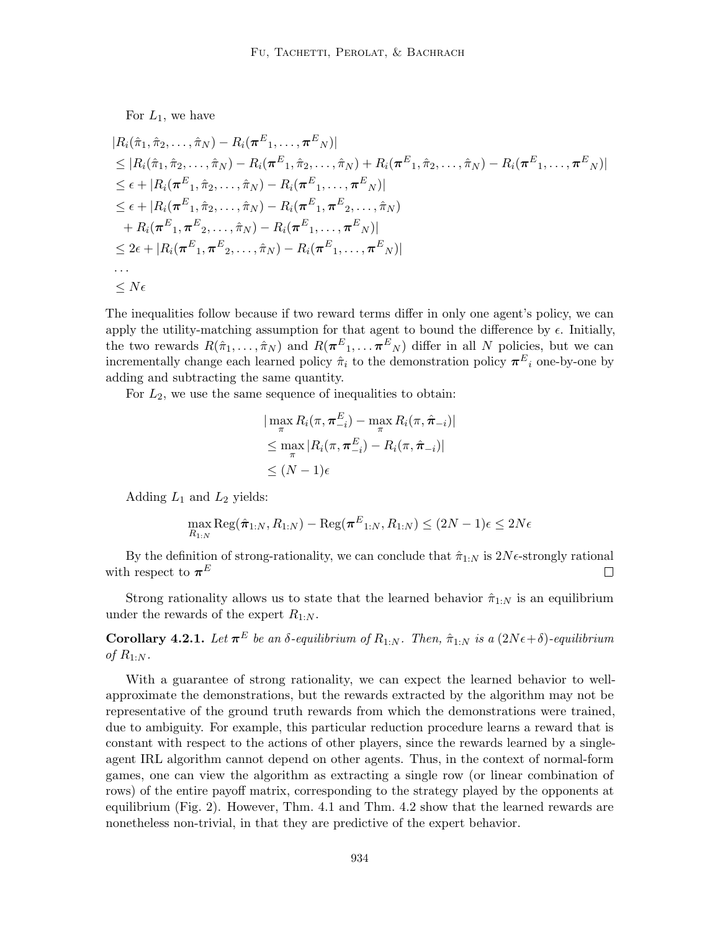For  $L_1$ , we have

$$
|R_{i}(\hat{\pi}_{1}, \hat{\pi}_{2}, \ldots, \hat{\pi}_{N}) - R_{i}(\boldsymbol{\pi}^{E}_{1}, \ldots, \boldsymbol{\pi}^{E}_{N})|
$$
  
\n
$$
\leq |R_{i}(\hat{\pi}_{1}, \hat{\pi}_{2}, \ldots, \hat{\pi}_{N}) - R_{i}(\boldsymbol{\pi}^{E}_{1}, \hat{\pi}_{2}, \ldots, \hat{\pi}_{N}) + R_{i}(\boldsymbol{\pi}^{E}_{1}, \hat{\pi}_{2}, \ldots, \hat{\pi}_{N}) - R_{i}(\boldsymbol{\pi}^{E}_{1}, \ldots, \boldsymbol{\pi}^{E}_{N})|
$$
  
\n
$$
\leq \epsilon + |R_{i}(\boldsymbol{\pi}^{E}_{1}, \hat{\pi}_{2}, \ldots, \hat{\pi}_{N}) - R_{i}(\boldsymbol{\pi}^{E}_{1}, \ldots, \boldsymbol{\pi}^{E}_{N})|
$$
  
\n
$$
\leq \epsilon + |R_{i}(\boldsymbol{\pi}^{E}_{1}, \hat{\pi}_{2}, \ldots, \hat{\pi}_{N}) - R_{i}(\boldsymbol{\pi}^{E}_{1}, \boldsymbol{\pi}^{E}_{2}, \ldots, \hat{\pi}_{N})
$$
  
\n
$$
+ R_{i}(\boldsymbol{\pi}^{E}_{1}, \boldsymbol{\pi}^{E}_{2}, \ldots, \hat{\pi}_{N}) - R_{i}(\boldsymbol{\pi}^{E}_{1}, \ldots, \boldsymbol{\pi}^{E}_{N})|
$$
  
\n
$$
\leq 2\epsilon + |R_{i}(\boldsymbol{\pi}^{E}_{1}, \boldsymbol{\pi}^{E}_{2}, \ldots, \hat{\pi}_{N}) - R_{i}(\boldsymbol{\pi}^{E}_{1}, \ldots, \boldsymbol{\pi}^{E}_{N})|
$$
  
\n...  
\n
$$
\leq N\epsilon
$$

The inequalities follow because if two reward terms differ in only one agent's policy, we can apply the utility-matching assumption for that agent to bound the difference by  $\epsilon$ . Initially, the two rewards  $R(\hat{\pi}_1,\ldots,\hat{\pi}_N)$  and  $R(\pi^E_1,\ldots,\pi^E_N)$  differ in all N policies, but we can incrementally change each learned policy  $\hat{\pi}_i$  to the demonstration policy  $\pi^E_i$  one-by-one by adding and subtracting the same quantity.

For  $L_2$ , we use the same sequence of inequalities to obtain:

$$
|\max_{\pi} R_i(\pi, \pi_{-i}^E) - \max_{\pi} R_i(\pi, \hat{\pi}_{-i})|
$$
  
\n
$$
\leq \max_{\pi} |R_i(\pi, \pi_{-i}^E) - R_i(\pi, \hat{\pi}_{-i})|
$$
  
\n
$$
\leq (N-1)\epsilon
$$

Adding  $L_1$  and  $L_2$  yields:

$$
\max_{R_{1:N}} \text{Reg}(\hat{\pi}_{1:N}, R_{1:N}) - \text{Reg}(\boldsymbol{\pi}^E_{1:N}, R_{1:N}) \leq (2N-1)\epsilon \leq 2N\epsilon
$$

By the definition of strong-rationality, we can conclude that  $\hat{\pi}_{1:N}$  is  $2N\epsilon$ -strongly rational with respect to  $\pi^E$  $\Box$ 

Strong rationality allows us to state that the learned behavior  $\hat{\pi}_{1:N}$  is an equilibrium under the rewards of the expert  $R_{1:N}$ .

**Corollary 4.2.1.** Let  $\boldsymbol{\pi}^E$  be an  $\delta$ -equilibrium of  $R_{1:N}$ . Then,  $\hat{\pi}_{1:N}$  is a  $(2N\epsilon+\delta)$ -equilibrium of  $R_{1:N}$ .

With a guarantee of strong rationality, we can expect the learned behavior to wellapproximate the demonstrations, but the rewards extracted by the algorithm may not be representative of the ground truth rewards from which the demonstrations were trained, due to ambiguity. For example, this particular reduction procedure learns a reward that is constant with respect to the actions of other players, since the rewards learned by a singleagent IRL algorithm cannot depend on other agents. Thus, in the context of normal-form games, one can view the algorithm as extracting a single row (or linear combination of rows) of the entire payoff matrix, corresponding to the strategy played by the opponents at equilibrium (Fig. 2). However, Thm. 4.1 and Thm. 4.2 show that the learned rewards are nonetheless non-trivial, in that they are predictive of the expert behavior.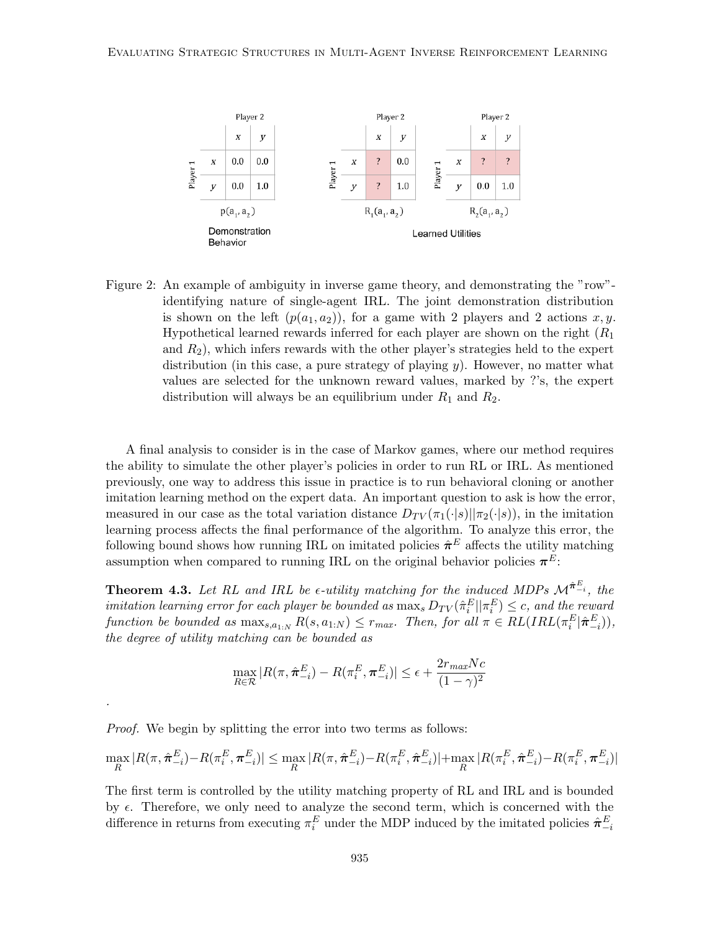

Figure 2: An example of ambiguity in inverse game theory, and demonstrating the "row" identifying nature of single-agent IRL. The joint demonstration distribution is shown on the left  $(p(a_1, a_2))$ , for a game with 2 players and 2 actions x, y. Hypothetical learned rewards inferred for each player are shown on the right  $(R_1)$ and  $R_2$ ), which infers rewards with the other player's strategies held to the expert distribution (in this case, a pure strategy of playing  $y$ ). However, no matter what values are selected for the unknown reward values, marked by ?'s, the expert distribution will always be an equilibrium under  $R_1$  and  $R_2$ .

A final analysis to consider is in the case of Markov games, where our method requires the ability to simulate the other player's policies in order to run RL or IRL. As mentioned previously, one way to address this issue in practice is to run behavioral cloning or another imitation learning method on the expert data. An important question to ask is how the error, measured in our case as the total variation distance  $D_{TV}(\pi_1(\cdot|s)||\pi_2(\cdot|s))$ , in the imitation learning process affects the final performance of the algorithm. To analyze this error, the following bound shows how running IRL on imitated policies  $\hat{\pi}^E$  affects the utility matching assumption when compared to running IRL on the original behavior policies  $\pi^E$ :

**Theorem 4.3.** Let RL and IRL be  $\epsilon$ -utility matching for the induced MDPs  $\mathcal{M}^{\hat{\pi}^E_{-i}}$ , the imitation learning error for each player be bounded as  $\max_s D_{TV}(\hat{\pi}_i^E || \pi_i^E) \leq c$ , and the reward function be bounded as  $\max_{s,a_1,N} R(s,a_{1:N}) \leq r_{max}$ . Then, for all  $\pi \in RL(IRL(\pi_i^E|\hat{\boldsymbol{\pi}}_{-i}^E)),$ the degree of utility matching can be bounded as

$$
\max_{R \in \mathcal{R}} |R(\pi, \hat{\boldsymbol{\pi}}_{-i}^{E}) - R(\pi_i^{E}, \boldsymbol{\pi}_{-i}^{E})| \le \epsilon + \frac{2r_{max}Nc}{(1 - \gamma)^2}
$$

Proof. We begin by splitting the error into two terms as follows:

.

$$
\max_{R} |R(\pi, \hat{\pi}_{-i}^{E}) - R(\pi_i^{E}, \pi_{-i}^{E})| \leq \max_{R} |R(\pi, \hat{\pi}_{-i}^{E}) - R(\pi_i^{E}, \hat{\pi}_{-i}^{E})| + \max_{R} |R(\pi_i^{E}, \hat{\pi}_{-i}^{E}) - R(\pi_i^{E}, \pi_{-i}^{E})|
$$

The first term is controlled by the utility matching property of RL and IRL and is bounded by  $\epsilon$ . Therefore, we only need to analyze the second term, which is concerned with the difference in returns from executing  $\pi_i^E$  under the MDP induced by the imitated policies  $\hat{\pi}_{-i}^E$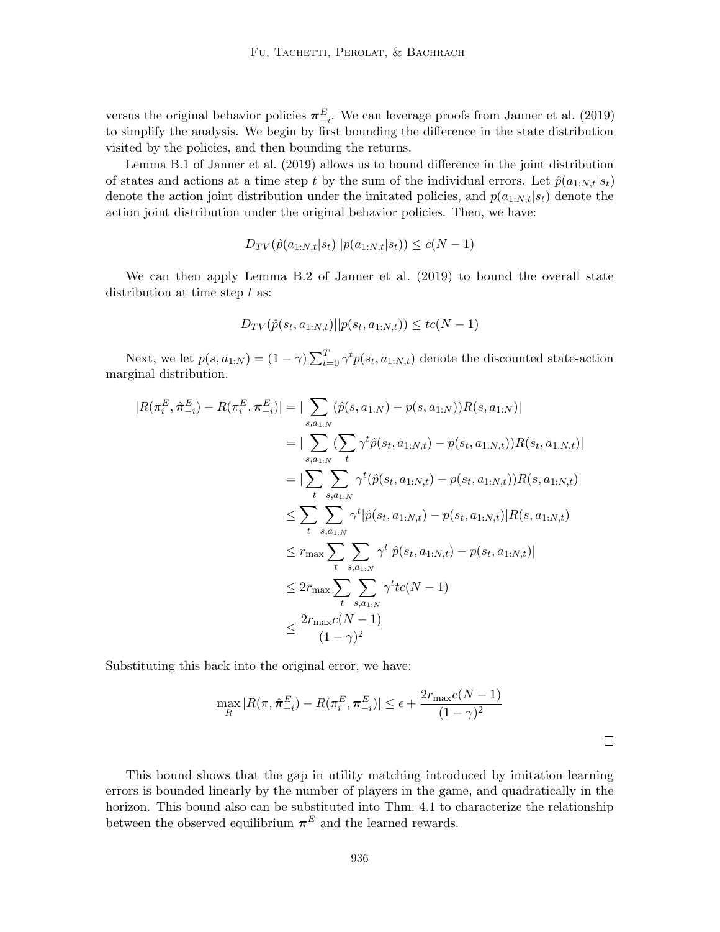versus the original behavior policies  $\pi_{-i}^E$ . We can leverage proofs from Janner et al. (2019) to simplify the analysis. We begin by first bounding the difference in the state distribution visited by the policies, and then bounding the returns.

Lemma B.1 of Janner et al. (2019) allows us to bound difference in the joint distribution of states and actions at a time step t by the sum of the individual errors. Let  $\hat{p}(a_{1:N,t}|s_t)$ denote the action joint distribution under the imitated policies, and  $p(a_{1:N,t}|s_t)$  denote the action joint distribution under the original behavior policies. Then, we have:

$$
D_{TV}(\hat{p}(a_{1:N,t}|s_t)||p(a_{1:N,t}|s_t)) \le c(N-1)
$$

We can then apply Lemma B.2 of Janner et al. (2019) to bound the overall state distribution at time step  $t$  as:

$$
D_{TV}(\hat{p}(s_t, a_{1:N,t})||p(s_t, a_{1:N,t})) \leq tc(N-1)
$$

Next, we let  $p(s, a_{1:N}) = (1 - \gamma) \sum_{t=0}^{T} \gamma^t p(s_t, a_{1:N,t})$  denote the discounted state-action marginal distribution.

$$
|R(\pi_i^E, \hat{\pi}_{-i}^E) - R(\pi_i^E, \pi_{-i}^E)| = |\sum_{s, a_{1:N}} (\hat{p}(s, a_{1:N}) - p(s, a_{1:N}))R(s, a_{1:N})|
$$
  
\n
$$
= |\sum_{s, a_{1:N}} (\sum_t \gamma^t \hat{p}(s_t, a_{1:N,t}) - p(s_t, a_{1:N,t}))R(s_t, a_{1:N,t})|
$$
  
\n
$$
= |\sum_t \sum_{s, a_{1:N}} \gamma^t (\hat{p}(s_t, a_{1:N,t}) - p(s_t, a_{1:N,t}))R(s, a_{1:N,t})|
$$
  
\n
$$
\leq \sum_t \sum_{s, a_{1:N}} \gamma^t |\hat{p}(s_t, a_{1:N,t}) - p(s_t, a_{1:N,t})|R(s, a_{1:N,t})|
$$
  
\n
$$
\leq r_{\max} \sum_t \sum_{s, a_{1:N}} \gamma^t |\hat{p}(s_t, a_{1:N,t}) - p(s_t, a_{1:N,t})|
$$
  
\n
$$
\leq 2r_{\max} \sum_{t} \sum_{s, a_{1:N}} \gamma^t tc(N - 1)
$$
  
\n
$$
\leq \frac{2r_{\max}c(N - 1)}{(1 - \gamma)^2}
$$

Substituting this back into the original error, we have:

$$
\max_{R} |R(\pi, \hat{\pi}_{-i}^{E}) - R(\pi_{i}^{E}, \pi_{-i}^{E})| \le \epsilon + \frac{2r_{\max}c(N-1)}{(1-\gamma)^{2}}
$$

 $\Box$ 

This bound shows that the gap in utility matching introduced by imitation learning errors is bounded linearly by the number of players in the game, and quadratically in the horizon. This bound also can be substituted into Thm. 4.1 to characterize the relationship between the observed equilibrium  $\pi^{E}$  and the learned rewards.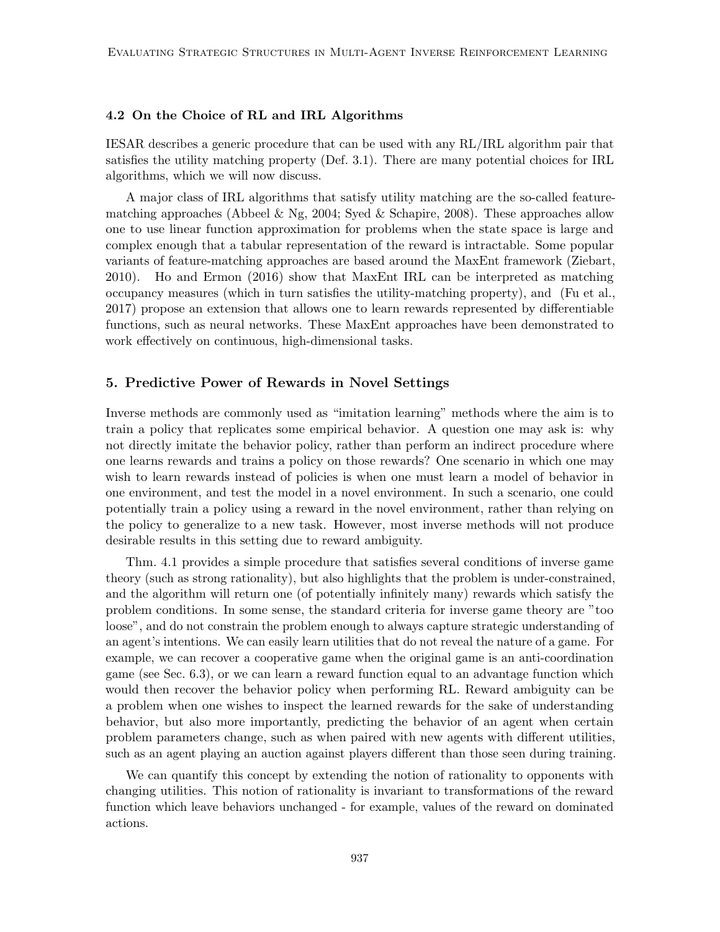# 4.2 On the Choice of RL and IRL Algorithms

IESAR describes a generic procedure that can be used with any RL/IRL algorithm pair that satisfies the utility matching property (Def. 3.1). There are many potential choices for IRL algorithms, which we will now discuss.

A major class of IRL algorithms that satisfy utility matching are the so-called featurematching approaches (Abbeel & Ng, 2004; Syed & Schapire, 2008). These approaches allow one to use linear function approximation for problems when the state space is large and complex enough that a tabular representation of the reward is intractable. Some popular variants of feature-matching approaches are based around the MaxEnt framework (Ziebart, 2010). Ho and Ermon (2016) show that MaxEnt IRL can be interpreted as matching occupancy measures (which in turn satisfies the utility-matching property), and (Fu et al., 2017) propose an extension that allows one to learn rewards represented by differentiable functions, such as neural networks. These MaxEnt approaches have been demonstrated to work effectively on continuous, high-dimensional tasks.

# 5. Predictive Power of Rewards in Novel Settings

Inverse methods are commonly used as "imitation learning" methods where the aim is to train a policy that replicates some empirical behavior. A question one may ask is: why not directly imitate the behavior policy, rather than perform an indirect procedure where one learns rewards and trains a policy on those rewards? One scenario in which one may wish to learn rewards instead of policies is when one must learn a model of behavior in one environment, and test the model in a novel environment. In such a scenario, one could potentially train a policy using a reward in the novel environment, rather than relying on the policy to generalize to a new task. However, most inverse methods will not produce desirable results in this setting due to reward ambiguity.

Thm. 4.1 provides a simple procedure that satisfies several conditions of inverse game theory (such as strong rationality), but also highlights that the problem is under-constrained, and the algorithm will return one (of potentially infinitely many) rewards which satisfy the problem conditions. In some sense, the standard criteria for inverse game theory are "too loose", and do not constrain the problem enough to always capture strategic understanding of an agent's intentions. We can easily learn utilities that do not reveal the nature of a game. For example, we can recover a cooperative game when the original game is an anti-coordination game (see Sec. 6.3), or we can learn a reward function equal to an advantage function which would then recover the behavior policy when performing RL. Reward ambiguity can be a problem when one wishes to inspect the learned rewards for the sake of understanding behavior, but also more importantly, predicting the behavior of an agent when certain problem parameters change, such as when paired with new agents with different utilities, such as an agent playing an auction against players different than those seen during training.

We can quantify this concept by extending the notion of rationality to opponents with changing utilities. This notion of rationality is invariant to transformations of the reward function which leave behaviors unchanged - for example, values of the reward on dominated actions.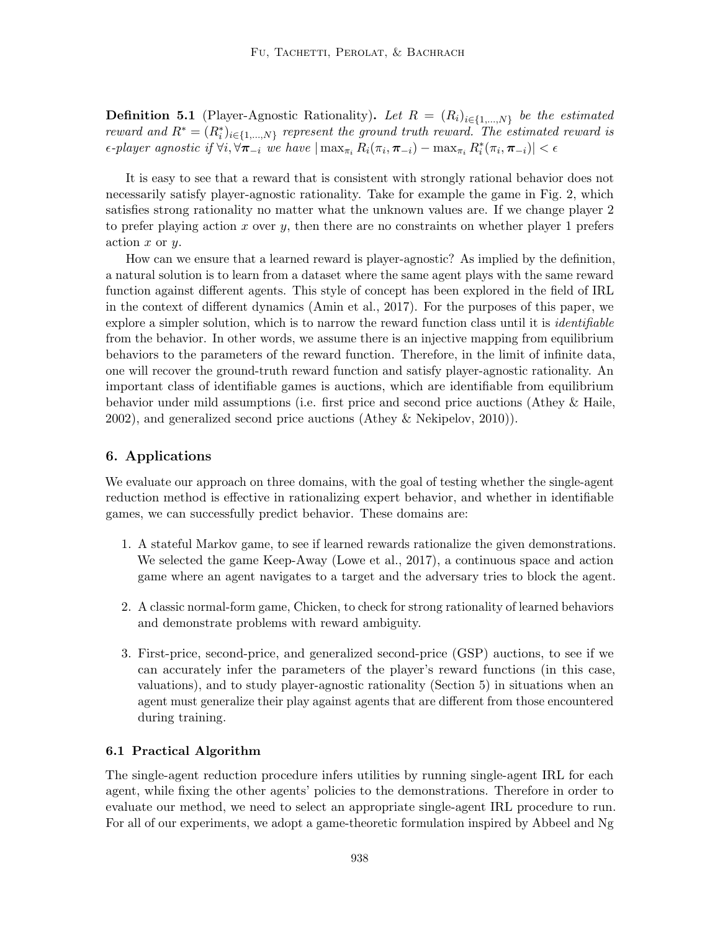**Definition 5.1** (Player-Agnostic Rationality). Let  $R = (R_i)_{i \in \{1,...,N\}}$  be the estimated reward and  $R^* = (R_i^*)_{i \in \{1,\dots,N\}}$  represent the ground truth reward. The estimated reward is  $\epsilon$ -player agnostic if  $\forall i$ ,  $\forall \pi_{-i}$  we have  $|\max_{\pi_i} R_i(\pi_i, \pi_{-i}) - \max_{\pi_i} R_i^*(\pi_i, \pi_{-i})| < \epsilon$ 

It is easy to see that a reward that is consistent with strongly rational behavior does not necessarily satisfy player-agnostic rationality. Take for example the game in Fig. 2, which satisfies strong rationality no matter what the unknown values are. If we change player 2 to prefer playing action  $x$  over  $y$ , then there are no constraints on whether player 1 prefers  $\arcsin x$  or  $y$ .

How can we ensure that a learned reward is player-agnostic? As implied by the definition, a natural solution is to learn from a dataset where the same agent plays with the same reward function against different agents. This style of concept has been explored in the field of IRL in the context of different dynamics (Amin et al., 2017). For the purposes of this paper, we explore a simpler solution, which is to narrow the reward function class until it is *identifiable* from the behavior. In other words, we assume there is an injective mapping from equilibrium behaviors to the parameters of the reward function. Therefore, in the limit of infinite data, one will recover the ground-truth reward function and satisfy player-agnostic rationality. An important class of identifiable games is auctions, which are identifiable from equilibrium behavior under mild assumptions (i.e. first price and second price auctions (Athey & Haile, 2002), and generalized second price auctions (Athey & Nekipelov, 2010)).

# 6. Applications

We evaluate our approach on three domains, with the goal of testing whether the single-agent reduction method is effective in rationalizing expert behavior, and whether in identifiable games, we can successfully predict behavior. These domains are:

- 1. A stateful Markov game, to see if learned rewards rationalize the given demonstrations. We selected the game Keep-Away (Lowe et al., 2017), a continuous space and action game where an agent navigates to a target and the adversary tries to block the agent.
- 2. A classic normal-form game, Chicken, to check for strong rationality of learned behaviors and demonstrate problems with reward ambiguity.
- 3. First-price, second-price, and generalized second-price (GSP) auctions, to see if we can accurately infer the parameters of the player's reward functions (in this case, valuations), and to study player-agnostic rationality (Section 5) in situations when an agent must generalize their play against agents that are different from those encountered during training.

#### 6.1 Practical Algorithm

The single-agent reduction procedure infers utilities by running single-agent IRL for each agent, while fixing the other agents' policies to the demonstrations. Therefore in order to evaluate our method, we need to select an appropriate single-agent IRL procedure to run. For all of our experiments, we adopt a game-theoretic formulation inspired by Abbeel and Ng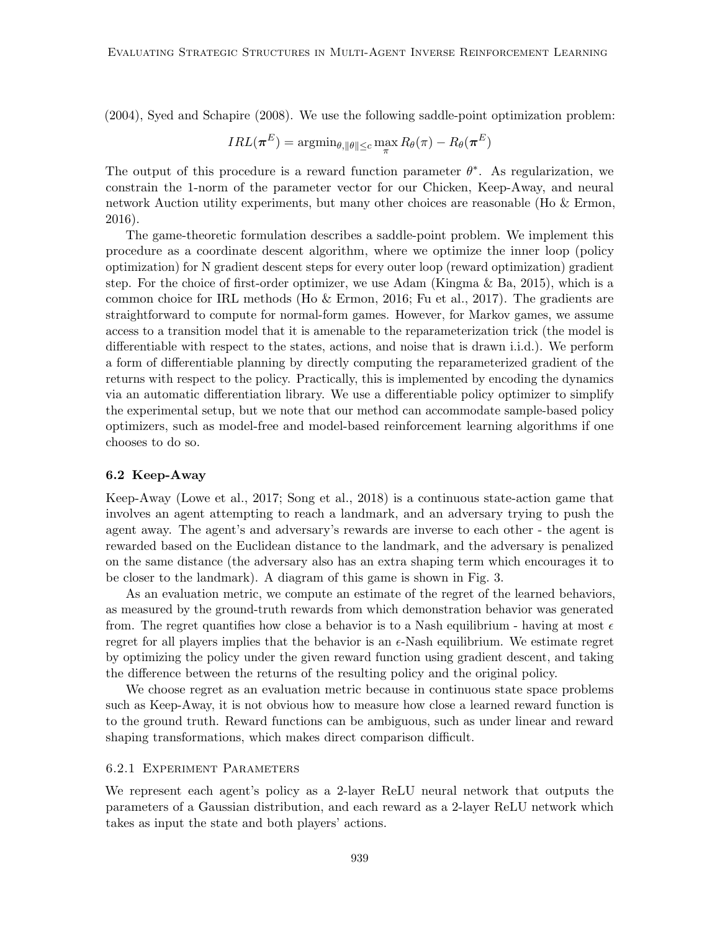(2004), Syed and Schapire (2008). We use the following saddle-point optimization problem:

$$
IRL(\boldsymbol{\pi}^E) = \operatorname{argmin}_{\theta, \|\theta\| \le c} \max_{\pi} R_{\theta}(\pi) - R_{\theta}(\boldsymbol{\pi}^E)
$$

The output of this procedure is a reward function parameter  $\theta^*$ . As regularization, we constrain the 1-norm of the parameter vector for our Chicken, Keep-Away, and neural network Auction utility experiments, but many other choices are reasonable (Ho & Ermon, 2016).

The game-theoretic formulation describes a saddle-point problem. We implement this procedure as a coordinate descent algorithm, where we optimize the inner loop (policy optimization) for N gradient descent steps for every outer loop (reward optimization) gradient step. For the choice of first-order optimizer, we use Adam (Kingma  $\&$  Ba, 2015), which is a common choice for IRL methods (Ho & Ermon, 2016; Fu et al., 2017). The gradients are straightforward to compute for normal-form games. However, for Markov games, we assume access to a transition model that it is amenable to the reparameterization trick (the model is differentiable with respect to the states, actions, and noise that is drawn i.i.d.). We perform a form of differentiable planning by directly computing the reparameterized gradient of the returns with respect to the policy. Practically, this is implemented by encoding the dynamics via an automatic differentiation library. We use a differentiable policy optimizer to simplify the experimental setup, but we note that our method can accommodate sample-based policy optimizers, such as model-free and model-based reinforcement learning algorithms if one chooses to do so.

#### 6.2 Keep-Away

Keep-Away (Lowe et al., 2017; Song et al., 2018) is a continuous state-action game that involves an agent attempting to reach a landmark, and an adversary trying to push the agent away. The agent's and adversary's rewards are inverse to each other - the agent is rewarded based on the Euclidean distance to the landmark, and the adversary is penalized on the same distance (the adversary also has an extra shaping term which encourages it to be closer to the landmark). A diagram of this game is shown in Fig. 3.

As an evaluation metric, we compute an estimate of the regret of the learned behaviors, as measured by the ground-truth rewards from which demonstration behavior was generated from. The regret quantifies how close a behavior is to a Nash equilibrium - having at most  $\epsilon$ regret for all players implies that the behavior is an  $\epsilon$ -Nash equilibrium. We estimate regret by optimizing the policy under the given reward function using gradient descent, and taking the difference between the returns of the resulting policy and the original policy.

We choose regret as an evaluation metric because in continuous state space problems such as Keep-Away, it is not obvious how to measure how close a learned reward function is to the ground truth. Reward functions can be ambiguous, such as under linear and reward shaping transformations, which makes direct comparison difficult.

#### 6.2.1 Experiment Parameters

We represent each agent's policy as a 2-layer ReLU neural network that outputs the parameters of a Gaussian distribution, and each reward as a 2-layer ReLU network which takes as input the state and both players' actions.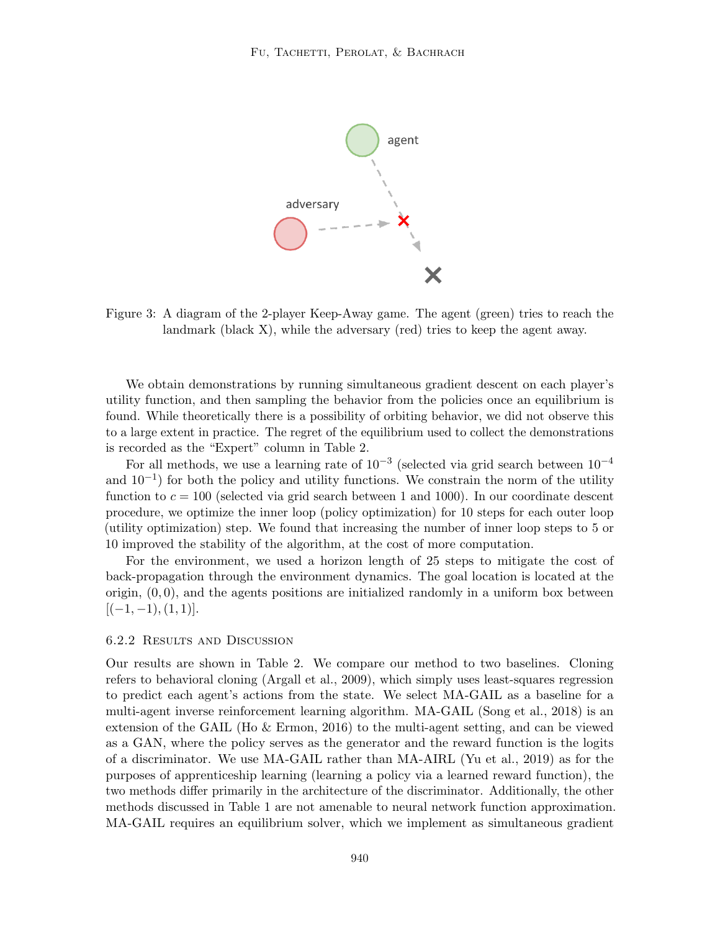

Figure 3: A diagram of the 2-player Keep-Away game. The agent (green) tries to reach the landmark (black X), while the adversary (red) tries to keep the agent away.

We obtain demonstrations by running simultaneous gradient descent on each player's utility function, and then sampling the behavior from the policies once an equilibrium is found. While theoretically there is a possibility of orbiting behavior, we did not observe this to a large extent in practice. The regret of the equilibrium used to collect the demonstrations is recorded as the "Expert" column in Table 2.

For all methods, we use a learning rate of  $10^{-3}$  (selected via grid search between  $10^{-4}$ and  $10^{-1}$ ) for both the policy and utility functions. We constrain the norm of the utility function to  $c = 100$  (selected via grid search between 1 and 1000). In our coordinate descent procedure, we optimize the inner loop (policy optimization) for 10 steps for each outer loop (utility optimization) step. We found that increasing the number of inner loop steps to 5 or 10 improved the stability of the algorithm, at the cost of more computation.

For the environment, we used a horizon length of 25 steps to mitigate the cost of back-propagation through the environment dynamics. The goal location is located at the origin,  $(0, 0)$ , and the agents positions are initialized randomly in a uniform box between  $[(-1, -1), (1, 1)].$ 

## 6.2.2 Results and Discussion

Our results are shown in Table 2. We compare our method to two baselines. Cloning refers to behavioral cloning (Argall et al., 2009), which simply uses least-squares regression to predict each agent's actions from the state. We select MA-GAIL as a baseline for a multi-agent inverse reinforcement learning algorithm. MA-GAIL (Song et al., 2018) is an extension of the GAIL (Ho & Ermon, 2016) to the multi-agent setting, and can be viewed as a GAN, where the policy serves as the generator and the reward function is the logits of a discriminator. We use MA-GAIL rather than MA-AIRL (Yu et al., 2019) as for the purposes of apprenticeship learning (learning a policy via a learned reward function), the two methods differ primarily in the architecture of the discriminator. Additionally, the other methods discussed in Table 1 are not amenable to neural network function approximation. MA-GAIL requires an equilibrium solver, which we implement as simultaneous gradient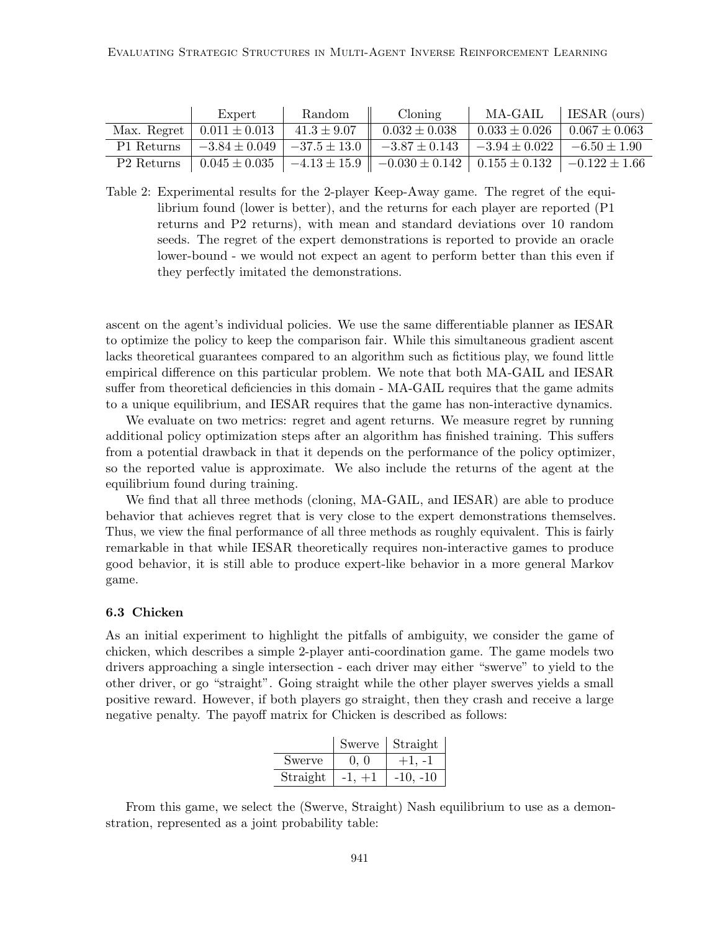|                        | Expert            | Random          | Cloning                                                  | MA-GAIL                              | ESAR (ours)          |
|------------------------|-------------------|-----------------|----------------------------------------------------------|--------------------------------------|----------------------|
| Max. Regret            | $0.011 \pm 0.013$ | $41.3 \pm 9.07$ | $0.032 \pm 0.038$                                        | $0.033 \pm 0.026$                    | $0.067 \pm 0.063$    |
| P1 Returns             |                   |                 | $-3.84 \pm 0.049$   $-37.5 \pm 13.0$   $-3.87 \pm 0.143$ | $-3.94 \pm 0.022$   $-6.50 \pm 1.90$ |                      |
| P <sub>2</sub> Returns | $0.045\pm0.035$   |                 | $ -4.13 \pm 15.9   -0.030 \pm 0.142   0.155 \pm 0.132  $ |                                      | $1 - 0.122 \pm 1.66$ |

Table 2: Experimental results for the 2-player Keep-Away game. The regret of the equilibrium found (lower is better), and the returns for each player are reported (P1 returns and P2 returns), with mean and standard deviations over 10 random seeds. The regret of the expert demonstrations is reported to provide an oracle lower-bound - we would not expect an agent to perform better than this even if they perfectly imitated the demonstrations.

ascent on the agent's individual policies. We use the same differentiable planner as IESAR to optimize the policy to keep the comparison fair. While this simultaneous gradient ascent lacks theoretical guarantees compared to an algorithm such as fictitious play, we found little empirical difference on this particular problem. We note that both MA-GAIL and IESAR suffer from theoretical deficiencies in this domain - MA-GAIL requires that the game admits to a unique equilibrium, and IESAR requires that the game has non-interactive dynamics.

We evaluate on two metrics: regret and agent returns. We measure regret by running additional policy optimization steps after an algorithm has finished training. This suffers from a potential drawback in that it depends on the performance of the policy optimizer, so the reported value is approximate. We also include the returns of the agent at the equilibrium found during training.

We find that all three methods (cloning, MA-GAIL, and IESAR) are able to produce behavior that achieves regret that is very close to the expert demonstrations themselves. Thus, we view the final performance of all three methods as roughly equivalent. This is fairly remarkable in that while IESAR theoretically requires non-interactive games to produce good behavior, it is still able to produce expert-like behavior in a more general Markov game.

#### 6.3 Chicken

As an initial experiment to highlight the pitfalls of ambiguity, we consider the game of chicken, which describes a simple 2-player anti-coordination game. The game models two drivers approaching a single intersection - each driver may either "swerve" to yield to the other driver, or go "straight". Going straight while the other player swerves yields a small positive reward. However, if both players go straight, then they crash and receive a large negative penalty. The payoff matrix for Chicken is described as follows:

|          | Swerve | Straight   |
|----------|--------|------------|
| Swerve   | (1, 1) |            |
| Straight |        | $-10, -10$ |

From this game, we select the (Swerve, Straight) Nash equilibrium to use as a demonstration, represented as a joint probability table: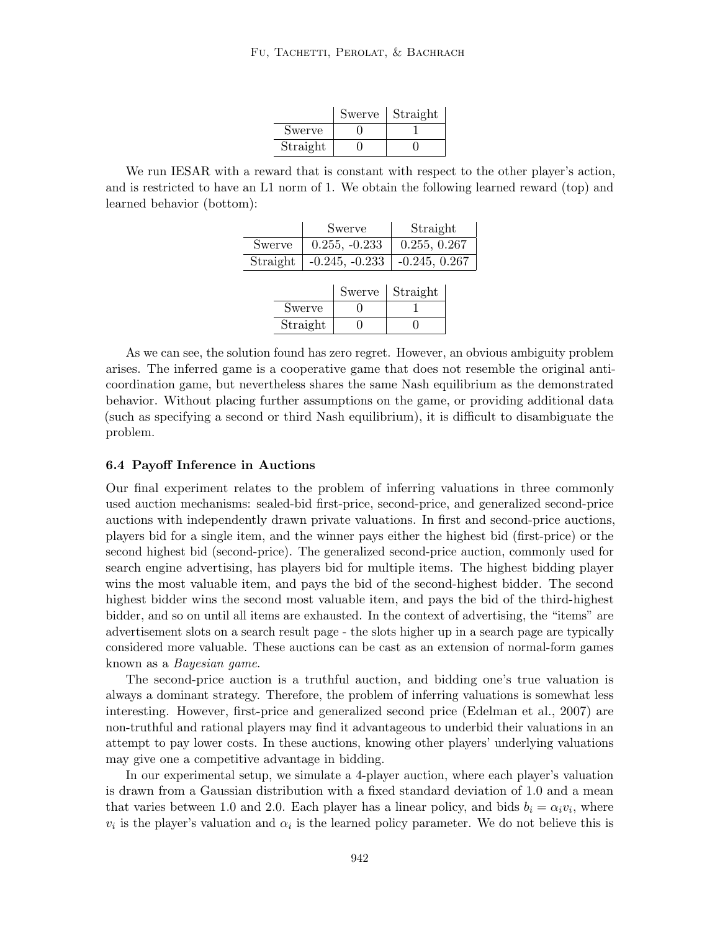|          | Swerve | Straight |
|----------|--------|----------|
| Swerve   |        |          |
| Straight |        |          |

We run IESAR with a reward that is constant with respect to the other player's action, and is restricted to have an L1 norm of 1. We obtain the following learned reward (top) and learned behavior (bottom):

|          | Swerve                             | Straight     |
|----------|------------------------------------|--------------|
| Swerve   | $0.255, -0.233$                    | 0.255, 0.267 |
| Straight | $-0.245, -0.233$   $-0.245, 0.267$ |              |
|          |                                    |              |

|          | Swerve | Straight |
|----------|--------|----------|
| Swerve   |        |          |
| Straight |        |          |

As we can see, the solution found has zero regret. However, an obvious ambiguity problem arises. The inferred game is a cooperative game that does not resemble the original anticoordination game, but nevertheless shares the same Nash equilibrium as the demonstrated behavior. Without placing further assumptions on the game, or providing additional data (such as specifying a second or third Nash equilibrium), it is difficult to disambiguate the problem.

## 6.4 Payoff Inference in Auctions

Our final experiment relates to the problem of inferring valuations in three commonly used auction mechanisms: sealed-bid first-price, second-price, and generalized second-price auctions with independently drawn private valuations. In first and second-price auctions, players bid for a single item, and the winner pays either the highest bid (first-price) or the second highest bid (second-price). The generalized second-price auction, commonly used for search engine advertising, has players bid for multiple items. The highest bidding player wins the most valuable item, and pays the bid of the second-highest bidder. The second highest bidder wins the second most valuable item, and pays the bid of the third-highest bidder, and so on until all items are exhausted. In the context of advertising, the "items" are advertisement slots on a search result page - the slots higher up in a search page are typically considered more valuable. These auctions can be cast as an extension of normal-form games known as a Bayesian game.

The second-price auction is a truthful auction, and bidding one's true valuation is always a dominant strategy. Therefore, the problem of inferring valuations is somewhat less interesting. However, first-price and generalized second price (Edelman et al., 2007) are non-truthful and rational players may find it advantageous to underbid their valuations in an attempt to pay lower costs. In these auctions, knowing other players' underlying valuations may give one a competitive advantage in bidding.

In our experimental setup, we simulate a 4-player auction, where each player's valuation is drawn from a Gaussian distribution with a fixed standard deviation of 1.0 and a mean that varies between 1.0 and 2.0. Each player has a linear policy, and bids  $b_i = \alpha_i v_i$ , where  $v_i$  is the player's valuation and  $\alpha_i$  is the learned policy parameter. We do not believe this is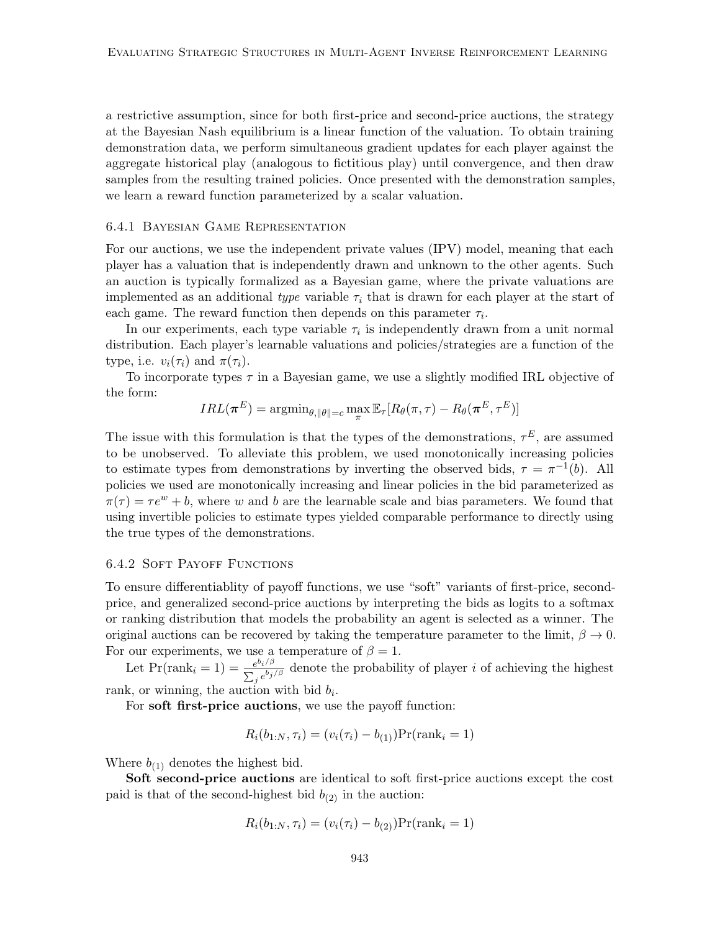a restrictive assumption, since for both first-price and second-price auctions, the strategy at the Bayesian Nash equilibrium is a linear function of the valuation. To obtain training demonstration data, we perform simultaneous gradient updates for each player against the aggregate historical play (analogous to fictitious play) until convergence, and then draw samples from the resulting trained policies. Once presented with the demonstration samples, we learn a reward function parameterized by a scalar valuation.

#### 6.4.1 Bayesian Game Representation

For our auctions, we use the independent private values (IPV) model, meaning that each player has a valuation that is independently drawn and unknown to the other agents. Such an auction is typically formalized as a Bayesian game, where the private valuations are implemented as an additional type variable  $\tau_i$  that is drawn for each player at the start of each game. The reward function then depends on this parameter  $\tau_i$ .

In our experiments, each type variable  $\tau_i$  is independently drawn from a unit normal distribution. Each player's learnable valuations and policies/strategies are a function of the type, i.e.  $v_i(\tau_i)$  and  $\pi(\tau_i)$ .

To incorporate types  $\tau$  in a Bayesian game, we use a slightly modified IRL objective of the form:

$$
IRL(\boldsymbol{\pi}^E) = \text{argmin}_{\theta, \|\theta\| = c} \max_{\pi} \mathbb{E}_{\tau}[R_{\theta}(\pi, \tau) - R_{\theta}(\boldsymbol{\pi}^E, \tau^E)]
$$

The issue with this formulation is that the types of the demonstrations,  $\tau^E$ , are assumed to be unobserved. To alleviate this problem, we used monotonically increasing policies to estimate types from demonstrations by inverting the observed bids,  $\tau = \pi^{-1}(b)$ . All policies we used are monotonically increasing and linear policies in the bid parameterized as  $\pi(\tau) = \tau e^w + b$ , where w and b are the learnable scale and bias parameters. We found that using invertible policies to estimate types yielded comparable performance to directly using the true types of the demonstrations.

## 6.4.2 Soft Payoff Functions

To ensure differentiablity of payoff functions, we use "soft" variants of first-price, secondprice, and generalized second-price auctions by interpreting the bids as logits to a softmax or ranking distribution that models the probability an agent is selected as a winner. The original auctions can be recovered by taking the temperature parameter to the limit,  $\beta \to 0$ . For our experiments, we use a temperature of  $\beta = 1$ .

Let  $Pr(\text{rank}_i = 1) = \frac{e^{b_i/\beta}}{\sum_{i} b_i}$  $\frac{e^{o_i/\beta}}{\sum_j e^{b_j/\beta}}$  denote the probability of player *i* of achieving the highest rank, or winning, the auction with bid  $b_i$ .

For soft first-price auctions, we use the payoff function:

$$
R_i(b_{1:N}, \tau_i) = (v_i(\tau_i) - b_{(1)}) \Pr(\text{rank}_i = 1)
$$

Where  $b_{(1)}$  denotes the highest bid.

Soft second-price auctions are identical to soft first-price auctions except the cost paid is that of the second-highest bid  $b_{(2)}$  in the auction:

$$
R_i(b_{1:N}, \tau_i) = (v_i(\tau_i) - b_{(2)}) \Pr(\text{rank}_i = 1)
$$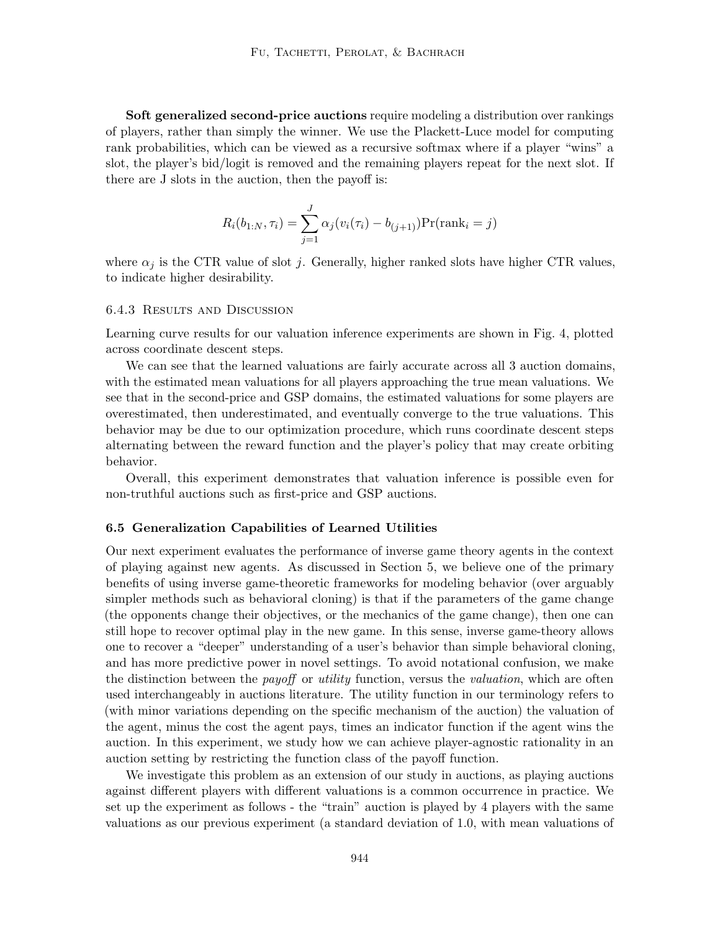Soft generalized second-price auctions require modeling a distribution over rankings of players, rather than simply the winner. We use the Plackett-Luce model for computing rank probabilities, which can be viewed as a recursive softmax where if a player "wins" a slot, the player's bid/logit is removed and the remaining players repeat for the next slot. If there are J slots in the auction, then the payoff is:

$$
R_i(b_{1:N}, \tau_i) = \sum_{j=1}^{J} \alpha_j (v_i(\tau_i) - b_{(j+1)}) \Pr(\text{rank}_i = j)
$$

where  $\alpha_j$  is the CTR value of slot j. Generally, higher ranked slots have higher CTR values, to indicate higher desirability.

#### 6.4.3 Results and Discussion

Learning curve results for our valuation inference experiments are shown in Fig. 4, plotted across coordinate descent steps.

We can see that the learned valuations are fairly accurate across all 3 auction domains, with the estimated mean valuations for all players approaching the true mean valuations. We see that in the second-price and GSP domains, the estimated valuations for some players are overestimated, then underestimated, and eventually converge to the true valuations. This behavior may be due to our optimization procedure, which runs coordinate descent steps alternating between the reward function and the player's policy that may create orbiting behavior.

Overall, this experiment demonstrates that valuation inference is possible even for non-truthful auctions such as first-price and GSP auctions.

#### 6.5 Generalization Capabilities of Learned Utilities

Our next experiment evaluates the performance of inverse game theory agents in the context of playing against new agents. As discussed in Section 5, we believe one of the primary benefits of using inverse game-theoretic frameworks for modeling behavior (over arguably simpler methods such as behavioral cloning) is that if the parameters of the game change (the opponents change their objectives, or the mechanics of the game change), then one can still hope to recover optimal play in the new game. In this sense, inverse game-theory allows one to recover a "deeper" understanding of a user's behavior than simple behavioral cloning, and has more predictive power in novel settings. To avoid notational confusion, we make the distinction between the *payoff* or *utility* function, versus the *valuation*, which are often used interchangeably in auctions literature. The utility function in our terminology refers to (with minor variations depending on the specific mechanism of the auction) the valuation of the agent, minus the cost the agent pays, times an indicator function if the agent wins the auction. In this experiment, we study how we can achieve player-agnostic rationality in an auction setting by restricting the function class of the payoff function.

We investigate this problem as an extension of our study in auctions, as playing auctions against different players with different valuations is a common occurrence in practice. We set up the experiment as follows - the "train" auction is played by 4 players with the same valuations as our previous experiment (a standard deviation of 1.0, with mean valuations of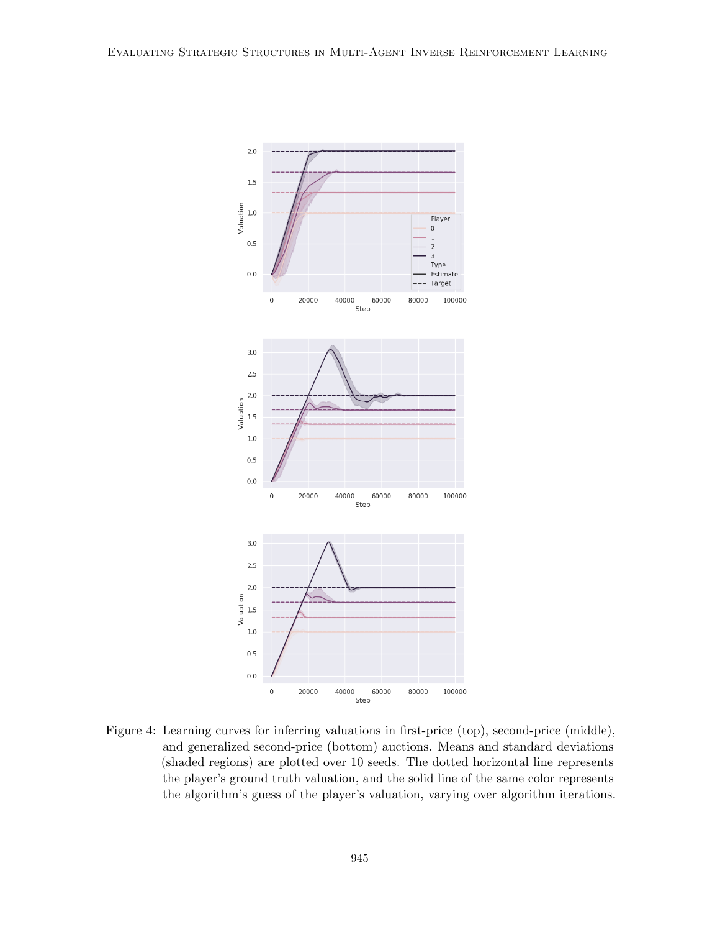

Figure 4: Learning curves for inferring valuations in first-price (top), second-price (middle), and generalized second-price (bottom) auctions. Means and standard deviations (shaded regions) are plotted over 10 seeds. The dotted horizontal line represents the player's ground truth valuation, and the solid line of the same color represents the algorithm's guess of the player's valuation, varying over algorithm iterations.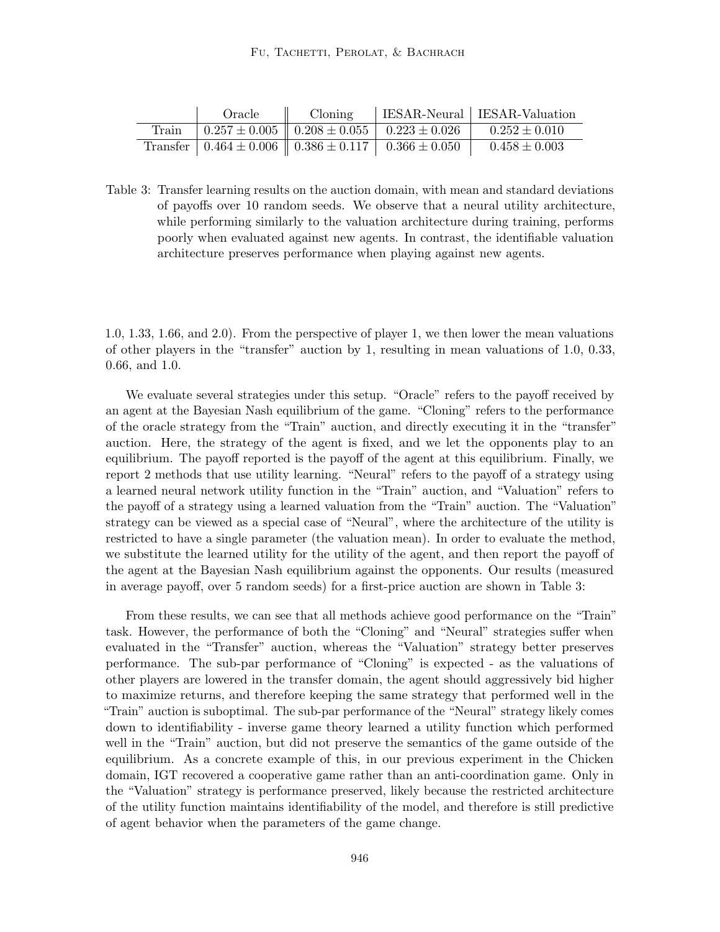|       | Oracle | Cloning                                                               | IESAR-Neural   IESAR-Valuation |
|-------|--------|-----------------------------------------------------------------------|--------------------------------|
| Train |        | $\pm 0.257 \pm 0.005 \pm 0.208 \pm 0.055 \pm 0.223 \pm 0.026$         | $0.252 \pm 0.010$              |
|       |        | Transfer   $0.464 \pm 0.006$    $0.386 \pm 0.117$   $0.366 \pm 0.050$ | $0.458 \pm 0.003$              |

Table 3: Transfer learning results on the auction domain, with mean and standard deviations of payoffs over 10 random seeds. We observe that a neural utility architecture, while performing similarly to the valuation architecture during training, performs poorly when evaluated against new agents. In contrast, the identifiable valuation architecture preserves performance when playing against new agents.

1.0, 1.33, 1.66, and 2.0). From the perspective of player 1, we then lower the mean valuations of other players in the "transfer" auction by 1, resulting in mean valuations of 1.0, 0.33, 0.66, and 1.0.

We evaluate several strategies under this setup. "Oracle" refers to the payoff received by an agent at the Bayesian Nash equilibrium of the game. "Cloning" refers to the performance of the oracle strategy from the "Train" auction, and directly executing it in the "transfer" auction. Here, the strategy of the agent is fixed, and we let the opponents play to an equilibrium. The payoff reported is the payoff of the agent at this equilibrium. Finally, we report 2 methods that use utility learning. "Neural" refers to the payoff of a strategy using a learned neural network utility function in the "Train" auction, and "Valuation" refers to the payoff of a strategy using a learned valuation from the "Train" auction. The "Valuation" strategy can be viewed as a special case of "Neural", where the architecture of the utility is restricted to have a single parameter (the valuation mean). In order to evaluate the method, we substitute the learned utility for the utility of the agent, and then report the payoff of the agent at the Bayesian Nash equilibrium against the opponents. Our results (measured in average payoff, over 5 random seeds) for a first-price auction are shown in Table 3:

From these results, we can see that all methods achieve good performance on the "Train" task. However, the performance of both the "Cloning" and "Neural" strategies suffer when evaluated in the "Transfer" auction, whereas the "Valuation" strategy better preserves performance. The sub-par performance of "Cloning" is expected - as the valuations of other players are lowered in the transfer domain, the agent should aggressively bid higher to maximize returns, and therefore keeping the same strategy that performed well in the "Train" auction is suboptimal. The sub-par performance of the "Neural" strategy likely comes down to identifiability - inverse game theory learned a utility function which performed well in the "Train" auction, but did not preserve the semantics of the game outside of the equilibrium. As a concrete example of this, in our previous experiment in the Chicken domain, IGT recovered a cooperative game rather than an anti-coordination game. Only in the "Valuation" strategy is performance preserved, likely because the restricted architecture of the utility function maintains identifiability of the model, and therefore is still predictive of agent behavior when the parameters of the game change.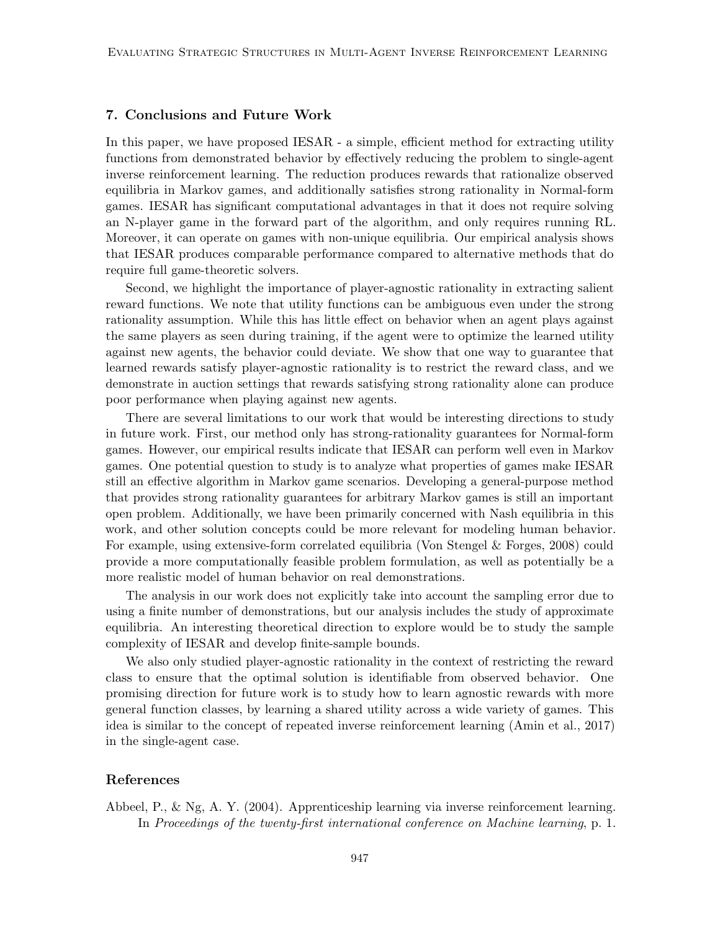# 7. Conclusions and Future Work

In this paper, we have proposed IESAR - a simple, efficient method for extracting utility functions from demonstrated behavior by effectively reducing the problem to single-agent inverse reinforcement learning. The reduction produces rewards that rationalize observed equilibria in Markov games, and additionally satisfies strong rationality in Normal-form games. IESAR has significant computational advantages in that it does not require solving an N-player game in the forward part of the algorithm, and only requires running RL. Moreover, it can operate on games with non-unique equilibria. Our empirical analysis shows that IESAR produces comparable performance compared to alternative methods that do require full game-theoretic solvers.

Second, we highlight the importance of player-agnostic rationality in extracting salient reward functions. We note that utility functions can be ambiguous even under the strong rationality assumption. While this has little effect on behavior when an agent plays against the same players as seen during training, if the agent were to optimize the learned utility against new agents, the behavior could deviate. We show that one way to guarantee that learned rewards satisfy player-agnostic rationality is to restrict the reward class, and we demonstrate in auction settings that rewards satisfying strong rationality alone can produce poor performance when playing against new agents.

There are several limitations to our work that would be interesting directions to study in future work. First, our method only has strong-rationality guarantees for Normal-form games. However, our empirical results indicate that IESAR can perform well even in Markov games. One potential question to study is to analyze what properties of games make IESAR still an effective algorithm in Markov game scenarios. Developing a general-purpose method that provides strong rationality guarantees for arbitrary Markov games is still an important open problem. Additionally, we have been primarily concerned with Nash equilibria in this work, and other solution concepts could be more relevant for modeling human behavior. For example, using extensive-form correlated equilibria (Von Stengel & Forges, 2008) could provide a more computationally feasible problem formulation, as well as potentially be a more realistic model of human behavior on real demonstrations.

The analysis in our work does not explicitly take into account the sampling error due to using a finite number of demonstrations, but our analysis includes the study of approximate equilibria. An interesting theoretical direction to explore would be to study the sample complexity of IESAR and develop finite-sample bounds.

We also only studied player-agnostic rationality in the context of restricting the reward class to ensure that the optimal solution is identifiable from observed behavior. One promising direction for future work is to study how to learn agnostic rewards with more general function classes, by learning a shared utility across a wide variety of games. This idea is similar to the concept of repeated inverse reinforcement learning (Amin et al., 2017) in the single-agent case.

# References

Abbeel, P., & Ng, A. Y. (2004). Apprenticeship learning via inverse reinforcement learning. In Proceedings of the twenty-first international conference on Machine learning, p. 1.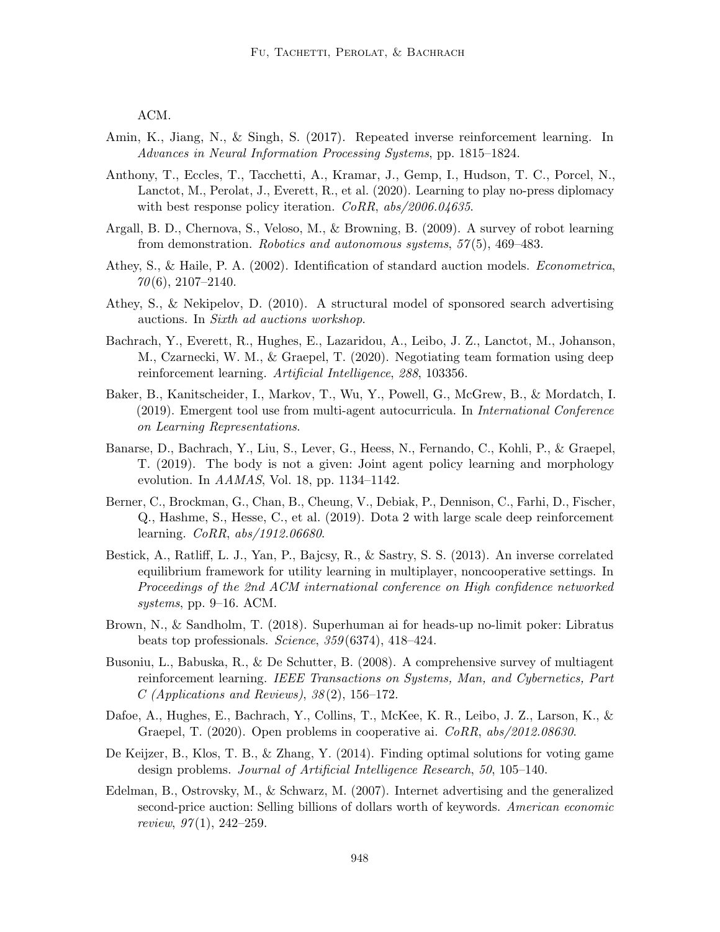ACM.

- Amin, K., Jiang, N., & Singh, S. (2017). Repeated inverse reinforcement learning. In Advances in Neural Information Processing Systems, pp. 1815–1824.
- Anthony, T., Eccles, T., Tacchetti, A., Kramar, J., Gemp, I., Hudson, T. C., Porcel, N., Lanctot, M., Perolat, J., Everett, R., et al. (2020). Learning to play no-press diplomacy with best response policy iteration. CoRR, abs/2006.04635.
- Argall, B. D., Chernova, S., Veloso, M., & Browning, B. (2009). A survey of robot learning from demonstration. Robotics and autonomous systems, 57 (5), 469–483.
- Athey, S., & Haile, P. A. (2002). Identification of standard auction models. Econometrica,  $70(6)$ , 2107-2140.
- Athey, S., & Nekipelov, D. (2010). A structural model of sponsored search advertising auctions. In Sixth ad auctions workshop.
- Bachrach, Y., Everett, R., Hughes, E., Lazaridou, A., Leibo, J. Z., Lanctot, M., Johanson, M., Czarnecki, W. M., & Graepel, T. (2020). Negotiating team formation using deep reinforcement learning. Artificial Intelligence, 288, 103356.
- Baker, B., Kanitscheider, I., Markov, T., Wu, Y., Powell, G., McGrew, B., & Mordatch, I. (2019). Emergent tool use from multi-agent autocurricula. In International Conference on Learning Representations.
- Banarse, D., Bachrach, Y., Liu, S., Lever, G., Heess, N., Fernando, C., Kohli, P., & Graepel, T. (2019). The body is not a given: Joint agent policy learning and morphology evolution. In AAMAS, Vol. 18, pp. 1134–1142.
- Berner, C., Brockman, G., Chan, B., Cheung, V., Debiak, P., Dennison, C., Farhi, D., Fischer, Q., Hashme, S., Hesse, C., et al. (2019). Dota 2 with large scale deep reinforcement learning. CoRR, abs/1912.06680.
- Bestick, A., Ratliff, L. J., Yan, P., Bajcsy, R., & Sastry, S. S. (2013). An inverse correlated equilibrium framework for utility learning in multiplayer, noncooperative settings. In Proceedings of the 2nd ACM international conference on High confidence networked systems, pp. 9–16. ACM.
- Brown, N., & Sandholm, T. (2018). Superhuman ai for heads-up no-limit poker: Libratus beats top professionals. Science, 359 (6374), 418–424.
- Busoniu, L., Babuska, R., & De Schutter, B. (2008). A comprehensive survey of multiagent reinforcement learning. IEEE Transactions on Systems, Man, and Cybernetics, Part  $C$  (Applications and Reviews),  $38(2)$ , 156–172.
- Dafoe, A., Hughes, E., Bachrach, Y., Collins, T., McKee, K. R., Leibo, J. Z., Larson, K., & Graepel, T. (2020). Open problems in cooperative ai. CoRR, abs/2012.08630.
- De Keijzer, B., Klos, T. B., & Zhang, Y. (2014). Finding optimal solutions for voting game design problems. Journal of Artificial Intelligence Research, 50, 105–140.
- Edelman, B., Ostrovsky, M., & Schwarz, M. (2007). Internet advertising and the generalized second-price auction: Selling billions of dollars worth of keywords. American economic review,  $97(1)$ ,  $242-259$ .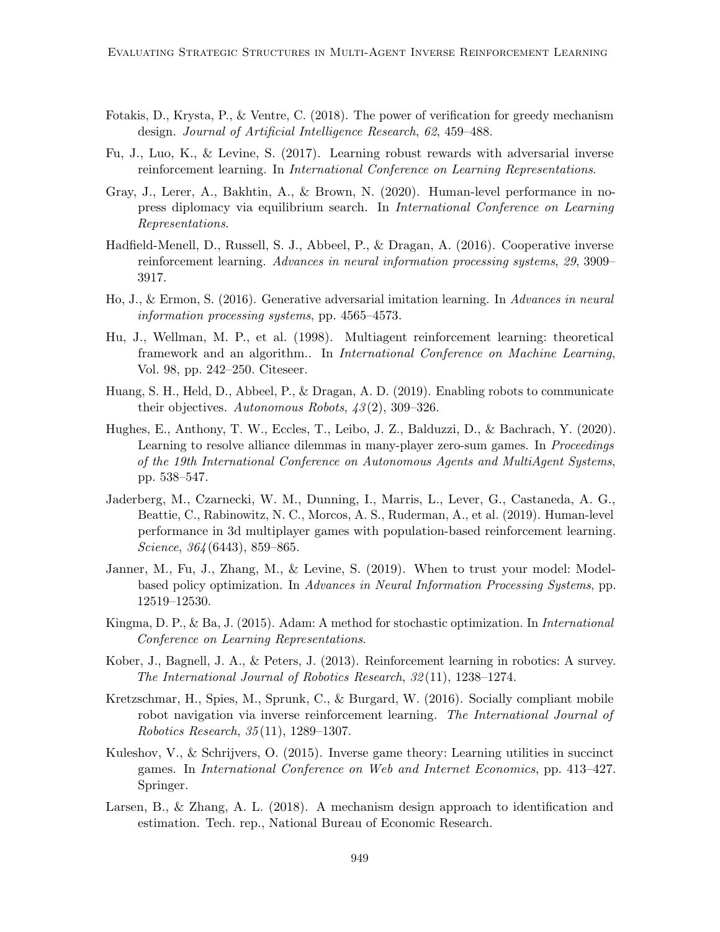- Fotakis, D., Krysta, P., & Ventre, C. (2018). The power of verification for greedy mechanism design. Journal of Artificial Intelligence Research, 62, 459–488.
- Fu, J., Luo, K., & Levine, S. (2017). Learning robust rewards with adversarial inverse reinforcement learning. In International Conference on Learning Representations.
- Gray, J., Lerer, A., Bakhtin, A., & Brown, N. (2020). Human-level performance in nopress diplomacy via equilibrium search. In International Conference on Learning Representations.
- Hadfield-Menell, D., Russell, S. J., Abbeel, P., & Dragan, A. (2016). Cooperative inverse reinforcement learning. Advances in neural information processing systems, 29, 3909– 3917.
- Ho, J., & Ermon, S. (2016). Generative adversarial imitation learning. In Advances in neural information processing systems, pp. 4565–4573.
- Hu, J., Wellman, M. P., et al. (1998). Multiagent reinforcement learning: theoretical framework and an algorithm.. In International Conference on Machine Learning, Vol. 98, pp. 242–250. Citeseer.
- Huang, S. H., Held, D., Abbeel, P., & Dragan, A. D. (2019). Enabling robots to communicate their objectives. Autonomous Robots,  $43(2)$ , 309-326.
- Hughes, E., Anthony, T. W., Eccles, T., Leibo, J. Z., Balduzzi, D., & Bachrach, Y. (2020). Learning to resolve alliance dilemmas in many-player zero-sum games. In Proceedings of the 19th International Conference on Autonomous Agents and MultiAgent Systems, pp. 538–547.
- Jaderberg, M., Czarnecki, W. M., Dunning, I., Marris, L., Lever, G., Castaneda, A. G., Beattie, C., Rabinowitz, N. C., Morcos, A. S., Ruderman, A., et al. (2019). Human-level performance in 3d multiplayer games with population-based reinforcement learning. Science, 364 (6443), 859–865.
- Janner, M., Fu, J., Zhang, M., & Levine, S. (2019). When to trust your model: Modelbased policy optimization. In Advances in Neural Information Processing Systems, pp. 12519–12530.
- Kingma, D. P., & Ba, J. (2015). Adam: A method for stochastic optimization. In International Conference on Learning Representations.
- Kober, J., Bagnell, J. A., & Peters, J. (2013). Reinforcement learning in robotics: A survey. The International Journal of Robotics Research, 32 (11), 1238–1274.
- Kretzschmar, H., Spies, M., Sprunk, C., & Burgard, W. (2016). Socially compliant mobile robot navigation via inverse reinforcement learning. The International Journal of Robotics Research, 35 (11), 1289–1307.
- Kuleshov, V., & Schrijvers, O. (2015). Inverse game theory: Learning utilities in succinct games. In International Conference on Web and Internet Economics, pp. 413–427. Springer.
- Larsen, B., & Zhang, A. L. (2018). A mechanism design approach to identification and estimation. Tech. rep., National Bureau of Economic Research.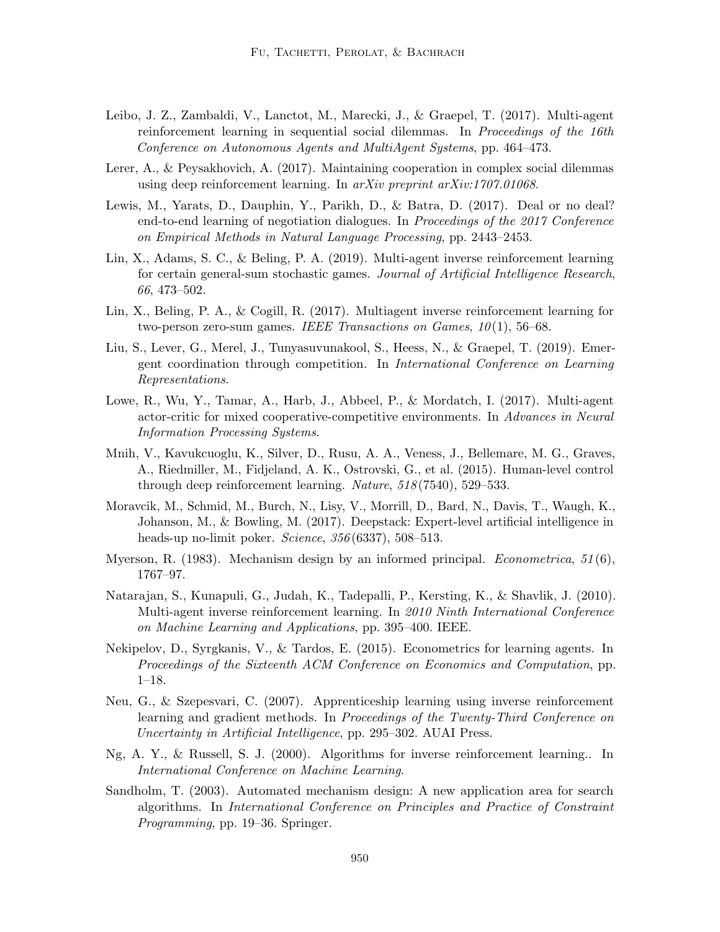- Leibo, J. Z., Zambaldi, V., Lanctot, M., Marecki, J., & Graepel, T. (2017). Multi-agent reinforcement learning in sequential social dilemmas. In Proceedings of the 16th Conference on Autonomous Agents and MultiAgent Systems, pp. 464–473.
- Lerer, A., & Peysakhovich, A. (2017). Maintaining cooperation in complex social dilemmas using deep reinforcement learning. In *arXiv preprint arXiv:1707.01068*.
- Lewis, M., Yarats, D., Dauphin, Y., Parikh, D., & Batra, D. (2017). Deal or no deal? end-to-end learning of negotiation dialogues. In Proceedings of the 2017 Conference on Empirical Methods in Natural Language Processing, pp. 2443–2453.
- Lin, X., Adams, S. C., & Beling, P. A. (2019). Multi-agent inverse reinforcement learning for certain general-sum stochastic games. Journal of Artificial Intelligence Research, 66, 473–502.
- Lin, X., Beling, P. A., & Cogill, R. (2017). Multiagent inverse reinforcement learning for two-person zero-sum games. IEEE Transactions on Games,  $10(1)$ , 56–68.
- Liu, S., Lever, G., Merel, J., Tunyasuvunakool, S., Heess, N., & Graepel, T. (2019). Emergent coordination through competition. In International Conference on Learning Representations.
- Lowe, R., Wu, Y., Tamar, A., Harb, J., Abbeel, P., & Mordatch, I. (2017). Multi-agent actor-critic for mixed cooperative-competitive environments. In Advances in Neural Information Processing Systems.
- Mnih, V., Kavukcuoglu, K., Silver, D., Rusu, A. A., Veness, J., Bellemare, M. G., Graves, A., Riedmiller, M., Fidjeland, A. K., Ostrovski, G., et al. (2015). Human-level control through deep reinforcement learning. Nature, 518 (7540), 529–533.
- Moravcik, M., Schmid, M., Burch, N., Lisy, V., Morrill, D., Bard, N., Davis, T., Waugh, K., Johanson, M., & Bowling, M. (2017). Deepstack: Expert-level artificial intelligence in heads-up no-limit poker. *Science*, 356(6337), 508–513.
- Myerson, R.  $(1983)$ . Mechanism design by an informed principal. *Econometrica*,  $51(6)$ , 1767–97.
- Natarajan, S., Kunapuli, G., Judah, K., Tadepalli, P., Kersting, K., & Shavlik, J. (2010). Multi-agent inverse reinforcement learning. In 2010 Ninth International Conference on Machine Learning and Applications, pp. 395–400. IEEE.
- Nekipelov, D., Syrgkanis, V., & Tardos, E. (2015). Econometrics for learning agents. In Proceedings of the Sixteenth ACM Conference on Economics and Computation, pp. 1–18.
- Neu, G., & Szepesvari, C. (2007). Apprenticeship learning using inverse reinforcement learning and gradient methods. In Proceedings of the Twenty-Third Conference on Uncertainty in Artificial Intelligence, pp. 295–302. AUAI Press.
- Ng, A. Y., & Russell, S. J. (2000). Algorithms for inverse reinforcement learning.. In International Conference on Machine Learning.
- Sandholm, T. (2003). Automated mechanism design: A new application area for search algorithms. In International Conference on Principles and Practice of Constraint Programming, pp. 19–36. Springer.